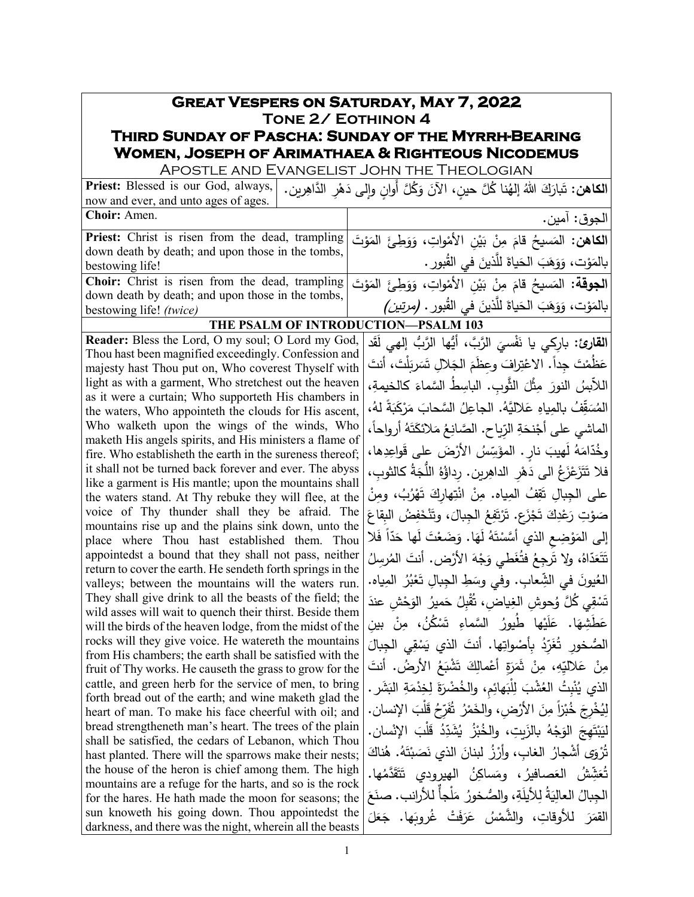## **Great Vespers on Saturday, May 7, 2022 Tone 2/ Eothinon 4 Third Sunday of Pascha: Sunday of the Myrrh-Bearing Women, Joseph of Arimathaea & Righteous Nicodemus** Apostle and Evangelist John the Theologian <mark>الكاهن:</mark> تَبارَكَ اللهُ إلهُنا كُلَّ حينٍ، الآنَ وَكُلَّ أَوانٍ وإِلى دَهْرِ الدَّاهِرين. <u>ا</u> Priest: Blessed is our God, always, now and ever, and unto ages of ages. الجوق: آمین. .Amen **:Choir الكاهن:** المَسيحُ قامَ مِنْ بَيْنِ الأَمْواتِ، وَوَطِئَ المَوْتَ<br>-**ٔ** ُبور َ في الق َّذین َ لل َ�اة َ الح َب َه َ و ْ ت، و �الم . َو **Priest:** Christ is risen from the dead, trampling down death by death; and upon those in the tombs, bestowing life! ا**لجوقة:** المَسيحُ قامَ مِنْ بَيْنِ الأَمْواتِ، وَوَطِئَ المَوْتَ<br>' ْ بالمَوْت، وَوَهَبَ الْحَياةَ للَّذينَ في القُبور . *(مرتين)*<br>حصوصو عدد عدد عدد عدد عدد عدد عدد ح **Choir:** Christ is risen from the dead, trampling down death by death; and upon those in the tombs, bestowing life! *(twice)* **THE PSALM OF INTRODUCTION—PSALM 103** ا**لقارئ:** بارِكِي يا نَفْسيَ الرَّبَّ، أَيُّها الرَّبُّ إلهي لَقَد|<br>مَدُّنَ مَسْتَفَرِّدَ الله عليها عَظُمْتَ جِداً. الاعْتِرافَ وعِظَمَ الجَلالِ تَسَرِبَلْتَ، أنتَ<br>مستقىمات ،ِ َ �الخ�مة َّ ِوب ِ . ال�اس ُط َّ السماء َ الث ْل ِث َ م �س النور ُ ّ اللا المُسَقِّفُ بالمِياهِ عَلاليَّهُ. الجاعِلُ السَّحابَ مَرْكَبَةً لهُ، |<br>. الماشي على أجْنحَةِ الرِّياح. الصَّانِعُ مَلائكَتَهُ أرواحاً، |<br>'' وخُدّامَهُ لَهيبَ نارٍ . المؤَسِّسُ الأَرْضَ على قَواعِدِها، |<br>منصوبه فلا تَتَزَعْزَعُ الى دَهْرِ الداهِرين. رِداؤُهُ اللُّجَةُ كالثوبِ، | ُ<br>ف ــٰ .<br>-على الجِبالِ تَقِفُ المِياه. مِنْ انْتِهارِكَ تَهْرُبُ، ومِنْ سَوْتِ رَعْدِكَ تَجْزَعِ. تَرْتَفِعُ الْجِبالَ، وتَنْخَفِضُ البِقاعَ ْ صَوْتِ رَعْدِكَ تَجْزَعِ. تَرْتَفِ َلا ً ف ّا َد َها ح ْ َت ل َ َضع َا. و َه ُ ل َه ْ ت ْ ِض ِع َّ الذي أسس َو إلى الم تَتَعَدّاهُ، ولا تَرجِعُ فتُغَطي وَجْهَ الأرْض. أنتَ المُرسِلُ <u>َ</u> العُيونَ في الشِّعابِ. وفي وسَطِ الجِبالِ تَعْبُرُ المِياه.|<br>ي ْ تَسْقِي كُلَّ وُحوشِ الغِياضِ، تُقْبِلُ حَميرُ الوَحْشِ عندَ<br>-عَطَشِهَا. عَلَيْها طُيورُ السَّماءِ تَسْكُنُ، مِنْ بينِ<br>. الصُّخورِ تُغَرِّدُ بِأَصْواتِها. أنتَ الذي يَسْقِي الجِبالَ مِنْ عَلاليِّهِ، مِنْ ثَمَرَةِ أَعْمالِكَ تَشْبَعُ الأَرضُ. أنتَ الذي يُنْبِتُ العُشْبَ لِلْبَهائِمِ، والخُضْرَةَ لِخِدْمَةِ النَشَرِ . |<br>. ْ َ الإنسان. َْلب ُ ق ِح ّ َر ُف ُ ت ْر َم ْ ِض، والخ َ الأر ِن ً م ْزا ُب َ خ ُ ْخِرج �ِ ل ْسان. َ الإن َْلب ُ ق ِد ّ ُ َشد � ُ ْز ُب َ ِ �ت، والخ ُ �الز ْه َج َ الو ِهج ت ب لی ــّ<br>-ْ ُـا<br>ا تُرْوَى أشْجارُ الغابِ، وأَرْزُ لبنانَ الذي نَصَبْتَهُ. هُناكَ<br>مُسِّمْ ْ تُعَشِّشُ العَصـافيرُ ، ومَساكِنُ الهيرودي تَتَقَدَّمُها. |<br>. الجِبالُ العالِيَةُ لِلأَيلَةِ، والصُخورُ ۖ مَلْجأٌ للأرانب. صنَعَ القمَرَ للأوقاتِ، والشَّمْسُ عَرَفَتْ غُروبَها. جَعَلَ **Reader:** Bless the Lord, O my soul; O Lord my God, Thou hast been magnified exceedingly. Confession and majesty hast Thou put on, Who coverest Thyself with light as with a garment, Who stretchest out the heaven as it were a curtain; Who supporteth His chambers in the waters, Who appointeth the clouds for His ascent, Who walketh upon the wings of the winds, Who maketh His angels spirits, and His ministers a flame of fire. Who establisheth the earth in the sureness thereof; it shall not be turned back forever and ever. The abyss like a garment is His mantle; upon the mountains shall the waters stand. At Thy rebuke they will flee, at the voice of Thy thunder shall they be afraid. The mountains rise up and the plains sink down, unto the place where Thou hast established them. Thou appointedst a bound that they shall not pass, neither return to cover the earth. He sendeth forth springs in the valleys; between the mountains will the waters run. They shall give drink to all the beasts of the field; the wild asses will wait to quench their thirst. Beside them will the birds of the heaven lodge, from the midst of the rocks will they give voice. He watereth the mountains from His chambers; the earth shall be satisfied with the fruit of Thy works. He causeth the grass to grow for the cattle, and green herb for the service of men, to bring forth bread out of the earth; and wine maketh glad the heart of man. To make his face cheerful with oil; and bread strengtheneth man's heart. The trees of the plain shall be satisfied, the cedars of Lebanon, which Thou hast planted. There will the sparrows make their nests; the house of the heron is chief among them. The high mountains are a refuge for the harts, and so is the rock for the hares. He hath made the moon for seasons; the sun knoweth his going down. Thou appointedst the darkness, and there was the night, wherein all the beasts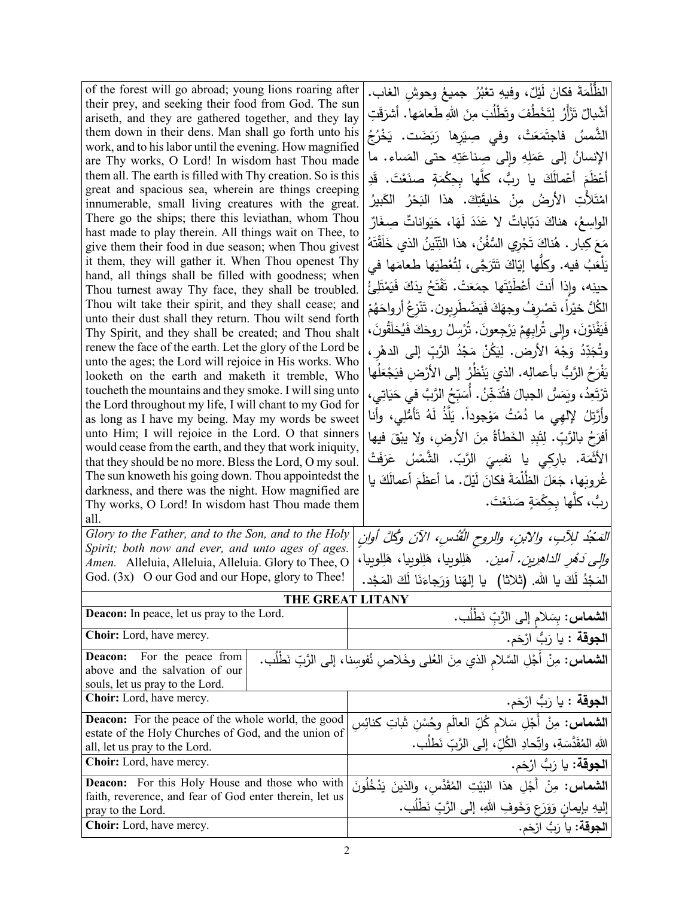| of the forest will go abroad; young lions roaring after<br>their prey, and seeking their food from God. The sun<br>ariseth, and they are gathered together, and they lay<br>them down in their dens. Man shall go forth unto his<br>work, and to his labor until the evening. How magnified<br>are Thy works, O Lord! In wisdom hast Thou made<br>them all. The earth is filled with Thy creation. So is this<br>great and spacious sea, wherein are things creeping<br>innumerable, small living creatures with the great.<br>There go the ships; there this leviathan, whom Thou<br>hast made to play therein. All things wait on Thee, to<br>give them their food in due season; when Thou givest<br>it them, they will gather it. When Thou openest Thy<br>hand, all things shall be filled with goodness; when<br>Thou turnest away Thy face, they shall be troubled.<br>Thou wilt take their spirit, and they shall cease; and<br>unto their dust shall they return. Thou wilt send forth<br>Thy Spirit, and they shall be created; and Thou shalt<br>renew the face of the earth. Let the glory of the Lord be<br>unto the ages; the Lord will rejoice in His works. Who<br>looketh on the earth and maketh it tremble, Who<br>toucheth the mountains and they smoke. I will sing unto<br>the Lord throughout my life, I will chant to my God for | الظُّلْمَةَ فكانَ لَيْلٌ، وفِيهِ تعْبُرُ جميعُ وحوش الغاب.<br>أَشْبِالٌ تَزْأَرُ لِتَخْطُفَ وتَطْلُبَ مِنَ اللهِ طَعامَها. أشرَقَتِ<br>الشَّمسُ فاجتَمَعَتْ، وفي صِيَرها رَبَضَت. يَخْرُجُ<br>الإنسانُ إلى عَمَلِهِ وإلى صِناعَتِهِ حتى المَساء. ما<br>أَعْظَمَ أَعْمالَكَ يا ربُّ، كلَّها بِحِكْمَةٍ صنَعْتَ. قَدِ<br>امْتَلأْتِ الأَرضُ مِنْ خَليقَتِكَ. هذا البَحْرُ الكَبيرُ<br>الواسِعُ، هناكَ دَبّاباتٌ لا عَدَدَ لَهَا، حَيَواناتٌ صِغَارٌ<br>مَعَ كِبارٍ . هُناكَ تَجْرِي السُّفُنُ ، هذا النِّتّينُ الذي خَلَقْتَهُ<br>يَلْعَبُ فيه. وكلَّها إيّاكَ تَتَرَجَّى، لِتُعْطَيَها طعامَها في<br>حينِه، وإذا أنتَ أَعْطَيْتَها جمَعَتْ. تَفْتَحُ يدَكَ فَيَمْتَلِئُ<br>الكُلُّ خَيْراً، تَصْرِفُ وجهَكَ فَيَضْطَرِبون. تَنْزِعُ أَرواحَهُمْ<br>فَيَفْنَوْنَ، وإِلى تُرابِهِمْ يَرْجِعونَ. تُرْسِلُ روحَكَ فَيُخلَقُونَ،<br>وتُجَدِّدُ وَجْهَ الأَرضِ. لِيَكُنْ مَجْدُ الرَّبِّ إلى الدهْرِ ،<br>يَفْرَحُ الرَّبُّ بأعمالِه. الذي يَنْظُرُ ۖ إلى الأرْض فيَجْعَلُها<br>تَرْتَعِدُ، ويَمَسُّ الجبالَ فتُدَخِّنُ. أَسَبِّحُ الرَّبَّ في حَيَاتِي، |
|----------------------------------------------------------------------------------------------------------------------------------------------------------------------------------------------------------------------------------------------------------------------------------------------------------------------------------------------------------------------------------------------------------------------------------------------------------------------------------------------------------------------------------------------------------------------------------------------------------------------------------------------------------------------------------------------------------------------------------------------------------------------------------------------------------------------------------------------------------------------------------------------------------------------------------------------------------------------------------------------------------------------------------------------------------------------------------------------------------------------------------------------------------------------------------------------------------------------------------------------------------------------------------------------------------------------------------------------------------|---------------------------------------------------------------------------------------------------------------------------------------------------------------------------------------------------------------------------------------------------------------------------------------------------------------------------------------------------------------------------------------------------------------------------------------------------------------------------------------------------------------------------------------------------------------------------------------------------------------------------------------------------------------------------------------------------------------------------------------------------------------------------------------------------------------------------------------------------------------------------------------------------------------------------------------------------------------------------------------------------------------------------------------------------|
| as long as I have my being. May my words be sweet                                                                                                                                                                                                                                                                                                                                                                                                                                                                                                                                                                                                                                                                                                                                                                                                                                                                                                                                                                                                                                                                                                                                                                                                                                                                                                        | وأَرَّبْلُ لِإلهِي ما دُمْتُ مَوْجوداً. يَلَّذُ لَهُ تَأْمُلِي، وأنا                                                                                                                                                                                                                                                                                                                                                                                                                                                                                                                                                                                                                                                                                                                                                                                                                                                                                                                                                                              |
| unto Him; I will rejoice in the Lord. O that sinners                                                                                                                                                                                                                                                                                                                                                                                                                                                                                                                                                                                                                                                                                                                                                                                                                                                                                                                                                                                                                                                                                                                                                                                                                                                                                                     | أَفْرَحُ بِالرَّبِّ. لِتَبِدِ الخَطَأَةُ مِنَ الأَرضِ، ولا يبْقَ فيها                                                                                                                                                                                                                                                                                                                                                                                                                                                                                                                                                                                                                                                                                                                                                                                                                                                                                                                                                                             |
| would cease from the earth, and they that work iniquity,                                                                                                                                                                                                                                                                                                                                                                                                                                                                                                                                                                                                                                                                                                                                                                                                                                                                                                                                                                                                                                                                                                                                                                                                                                                                                                 | الأَثْمَة. بارِكِي يا نفسِيَ الرَّبِّ. الشَّمْسُ عَرَفَتْ                                                                                                                                                                                                                                                                                                                                                                                                                                                                                                                                                                                                                                                                                                                                                                                                                                                                                                                                                                                         |
| that they should be no more. Bless the Lord, O my soul.<br>The sun knoweth his going down. Thou appointedst the                                                                                                                                                                                                                                                                                                                                                                                                                                                                                                                                                                                                                                                                                                                                                                                                                                                                                                                                                                                                                                                                                                                                                                                                                                          | غُروبَها، جَعَلَ الظُّلْمَةَ فكانَ لَيْلٌ. ما أعظَمَ أعمالَكَ يا                                                                                                                                                                                                                                                                                                                                                                                                                                                                                                                                                                                                                                                                                                                                                                                                                                                                                                                                                                                  |
| darkness, and there was the night. How magnified are                                                                                                                                                                                                                                                                                                                                                                                                                                                                                                                                                                                                                                                                                                                                                                                                                                                                                                                                                                                                                                                                                                                                                                                                                                                                                                     |                                                                                                                                                                                                                                                                                                                                                                                                                                                                                                                                                                                                                                                                                                                                                                                                                                                                                                                                                                                                                                                   |
| Thy works, O Lord! In wisdom hast Thou made them<br>all.                                                                                                                                                                                                                                                                                                                                                                                                                                                                                                                                                                                                                                                                                                                                                                                                                                                                                                                                                                                                                                                                                                                                                                                                                                                                                                 | رِبُّ، كلَّها بِحِكْمَةٍ صَنَعْتَ.                                                                                                                                                                                                                                                                                                                                                                                                                                                                                                                                                                                                                                                                                                                                                                                                                                                                                                                                                                                                                |
| Glory to the Father, and to the Son, and to the Holy                                                                                                                                                                                                                                                                                                                                                                                                                                                                                                                                                                                                                                                                                                                                                                                                                                                                                                                                                                                                                                                                                                                                                                                                                                                                                                     | المَجْدُ للِأَبِ، والآبنِ، والروح القُدُسِ، الآنَ وكُلَّ أُوانِ                                                                                                                                                                                                                                                                                                                                                                                                                                                                                                                                                                                                                                                                                                                                                                                                                                                                                                                                                                                   |
| Spirit; both now and ever, and unto ages of ages.<br>Amen. Alleluia, Alleluia, Alleluia. Glory to Thee, O                                                                                                                                                                                                                                                                                                                                                                                                                                                                                                                                                                                                                                                                                                                                                                                                                                                                                                                                                                                                                                                                                                                                                                                                                                                | <i>وإلى دَهْر الداهرِين. أمين.</i> هَلِلوييا، هَلِلوييا، هَلِلوييا،                                                                                                                                                                                                                                                                                                                                                                                                                                                                                                                                                                                                                                                                                                                                                                                                                                                                                                                                                                               |
| God. (3x) O our God and our Hope, glory to Thee!                                                                                                                                                                                                                                                                                                                                                                                                                                                                                                                                                                                                                                                                                                                                                                                                                                                                                                                                                                                                                                                                                                                                                                                                                                                                                                         | المَجْدُ لَكَ يا الله. (ثلاثا)  يا إلهَنا وَرَجاءَنَا لَكَ المَجْد.                                                                                                                                                                                                                                                                                                                                                                                                                                                                                                                                                                                                                                                                                                                                                                                                                                                                                                                                                                               |
| THE GREAT LITANY                                                                                                                                                                                                                                                                                                                                                                                                                                                                                                                                                                                                                                                                                                                                                                                                                                                                                                                                                                                                                                                                                                                                                                                                                                                                                                                                         |                                                                                                                                                                                                                                                                                                                                                                                                                                                                                                                                                                                                                                                                                                                                                                                                                                                                                                                                                                                                                                                   |
| <b>Deacon:</b> In peace, let us pray to the Lord.                                                                                                                                                                                                                                                                                                                                                                                                                                                                                                                                                                                                                                                                                                                                                                                                                                                                                                                                                                                                                                                                                                                                                                                                                                                                                                        | الشماس: بِسَلام إلى الرَّبِّ نَطْلُب.                                                                                                                                                                                                                                                                                                                                                                                                                                                                                                                                                                                                                                                                                                                                                                                                                                                                                                                                                                                                             |
| Choir: Lord, have mercy.                                                                                                                                                                                                                                                                                                                                                                                                                                                                                                                                                                                                                                                                                                                                                                                                                                                                                                                                                                                                                                                                                                                                                                                                                                                                                                                                 | ا <b>لجوقة</b> : يا رَبُّ ارْحَم.                                                                                                                                                                                                                                                                                                                                                                                                                                                                                                                                                                                                                                                                                                                                                                                                                                                                                                                                                                                                                 |
| For the peace from<br>Deacon:<br>above and the salvation of our<br>souls, let us pray to the Lord.                                                                                                                                                                                                                                                                                                                                                                                                                                                                                                                                                                                                                                                                                                                                                                                                                                                                                                                                                                                                                                                                                                                                                                                                                                                       | <b>الشماس:</b> مِنْ أَجْلِ السَّلام الذي مِنَ العُلمي وخَلاصٍ نُفوسِنا، إلى الرَّبِّ نَطْلُب.                                                                                                                                                                                                                                                                                                                                                                                                                                                                                                                                                                                                                                                                                                                                                                                                                                                                                                                                                     |
| <b>Choir:</b> Lord, have mercy.                                                                                                                                                                                                                                                                                                                                                                                                                                                                                                                                                                                                                                                                                                                                                                                                                                                                                                                                                                                                                                                                                                                                                                                                                                                                                                                          | ا <b>لجوقة :</b> يا رَبُّ ارْحَم.                                                                                                                                                                                                                                                                                                                                                                                                                                                                                                                                                                                                                                                                                                                                                                                                                                                                                                                                                                                                                 |
| <b>Deacon:</b> For the peace of the whole world, the good                                                                                                                                                                                                                                                                                                                                                                                                                                                                                                                                                                                                                                                                                                                                                                                                                                                                                                                                                                                                                                                                                                                                                                                                                                                                                                | <b>الشماس:</b> مِنْ أَجْلِ سَلامٍ كُلِّ العالَمِ وحُسْنِ شَاتِ كنائِسِ                                                                                                                                                                                                                                                                                                                                                                                                                                                                                                                                                                                                                                                                                                                                                                                                                                                                                                                                                                            |
| estate of the Holy Churches of God, and the union of<br>all, let us pray to the Lord.                                                                                                                                                                                                                                                                                                                                                                                                                                                                                                                                                                                                                                                                                                                                                                                                                                                                                                                                                                                                                                                                                                                                                                                                                                                                    | اللهِ المُقَدَّسَةِ، واتِّحادِ الكُلِّ، إلى الرَّبِّ نَطلُب.                                                                                                                                                                                                                                                                                                                                                                                                                                                                                                                                                                                                                                                                                                                                                                                                                                                                                                                                                                                      |
| <b>Choir:</b> Lord, have mercy.                                                                                                                                                                                                                                                                                                                                                                                                                                                                                                                                                                                                                                                                                                                                                                                                                                                                                                                                                                                                                                                                                                                                                                                                                                                                                                                          | ا <b>لجوقة:</b> يا رَبُّ ارْحَم.                                                                                                                                                                                                                                                                                                                                                                                                                                                                                                                                                                                                                                                                                                                                                                                                                                                                                                                                                                                                                  |
| <b>Deacon:</b> For this Holy House and those who with                                                                                                                                                                                                                                                                                                                                                                                                                                                                                                                                                                                                                                                                                                                                                                                                                                                                                                                                                                                                                                                                                                                                                                                                                                                                                                    | <b>الشماس:</b> مِنْ أَجْلِ هذا البَيْتِ المُقَدَّس، والذينَ يَدْخُلُونَ                                                                                                                                                                                                                                                                                                                                                                                                                                                                                                                                                                                                                                                                                                                                                                                                                                                                                                                                                                           |
| faith, reverence, and fear of God enter therein, let us<br>pray to the Lord.                                                                                                                                                                                                                                                                                                                                                                                                                                                                                                                                                                                                                                                                                                                                                                                                                                                                                                                                                                                                                                                                                                                                                                                                                                                                             | إليهِ بإيمانٍ وَوَرَعٍ وَخَوفِ اللهِ، إلى الرَّبِّ نَطْلَبٍ.                                                                                                                                                                                                                                                                                                                                                                                                                                                                                                                                                                                                                                                                                                                                                                                                                                                                                                                                                                                      |
| Choir: Lord, have mercy.                                                                                                                                                                                                                                                                                                                                                                                                                                                                                                                                                                                                                                                                                                                                                                                                                                                                                                                                                                                                                                                                                                                                                                                                                                                                                                                                 | ا <b>لجوقة:</b> يا رَبُّ ارْحَم.                                                                                                                                                                                                                                                                                                                                                                                                                                                                                                                                                                                                                                                                                                                                                                                                                                                                                                                                                                                                                  |
|                                                                                                                                                                                                                                                                                                                                                                                                                                                                                                                                                                                                                                                                                                                                                                                                                                                                                                                                                                                                                                                                                                                                                                                                                                                                                                                                                          |                                                                                                                                                                                                                                                                                                                                                                                                                                                                                                                                                                                                                                                                                                                                                                                                                                                                                                                                                                                                                                                   |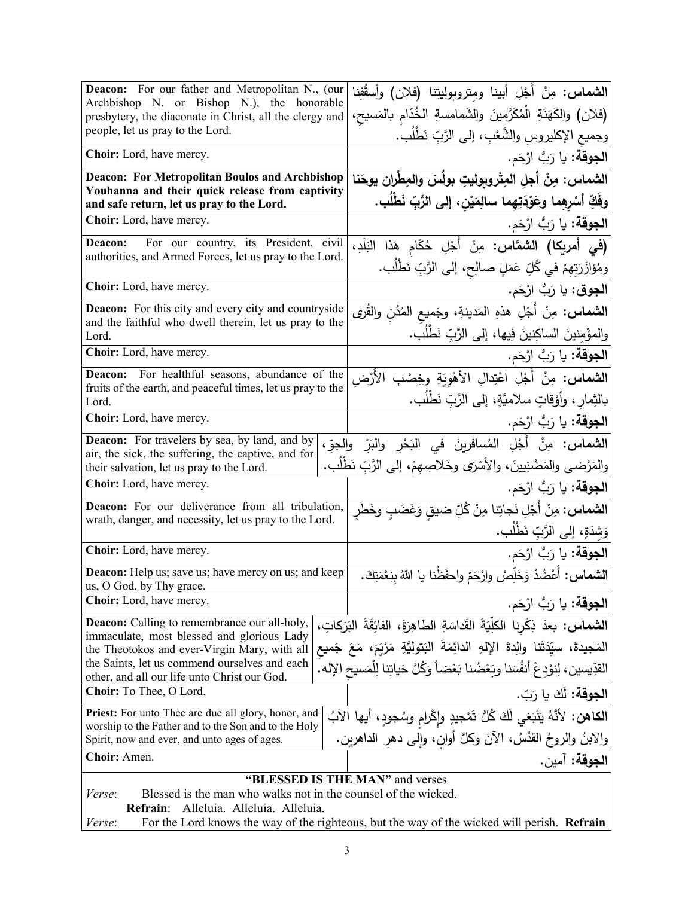| <b>Deacon:</b> For our father and Metropolitan N., (our<br>Archbishop N. or Bishop N.), the honorable        | ا <b>لشماس</b> : مِنْ أَجْلِ أبينا ومِتروبوليتِنا (فلان) وأسقُفِنا                  |  |
|--------------------------------------------------------------------------------------------------------------|-------------------------------------------------------------------------------------|--|
| presbytery, the diaconate in Christ, all the clergy and                                                      | (فلان) والكَهَنَةِ الْمُكَرَّمينَ والشَمامسةِ الخُدّام بالمَسيح،                    |  |
| people, let us pray to the Lord.                                                                             | وجميع الإكليروس والشُّعْبِ، إلى الرَّبِّ نَطْلَب.                                   |  |
| Choir: Lord, have mercy.                                                                                     | ا <b>لجوقة:</b> يا رَبُّ ارْحَم.                                                    |  |
| <b>Deacon: For Metropolitan Boulos and Archbishop</b>                                                        | الشماس: مِنْ أجلِ المِتْروبوليتِ بولُسَ والمِطْرانِ يوحَنا                          |  |
| Youhanna and their quick release from captivity<br>and safe return, let us pray to the Lord.                 | وفَكِّ أَسْرِهِما وعَوْدَتِهما سالِمَيْن، إلى الرَّبِّ نَطْلُب.                     |  |
| Choir: Lord, have mercy.                                                                                     | ا <b>لجوقة:</b> يا رَبُّ ارْحَم.                                                    |  |
| For our country, its President, civil<br>Deacon:                                                             | (في أمريكا) الشعَّاس: مِنْ أَجْلِ حُكّام هَذا البَلَدِ،                             |  |
| authorities, and Armed Forces, let us pray to the Lord.                                                      | ومُؤازَرَتِهِمْ في كُلِّ عَمَلٍ صالِحٍ، إلى الرَّبِّ نَطْلُب.                       |  |
| Choir: Lord, have mercy.                                                                                     | <b>الجوق</b> : يا رَبُّ ارْحَم.                                                     |  |
| <b>Deacon:</b> For this city and every city and countryside                                                  | ا <b>لشماس</b> : مِنْ أَجْلِ هذهِ المَدينةِ، وجَميع المُدُنِ والقُرى                |  |
| and the faithful who dwell therein, let us pray to the<br>Lord.                                              | والمؤمنينَ الساكِنينَ فِيها، إلى الرَّبّ نَطْلُب.                                   |  |
| Choir: Lord, have mercy.                                                                                     | ا <b>لجوقة:</b> يا رَبُّ ارْحَم.                                                    |  |
| Deacon: For healthful seasons, abundance of the                                                              | ا <b>لشماس:</b> مِنْ أَجْلِ اعْتِدالِ الأَهْوِيَةِ وخِصْبِ الأَرْضِ                 |  |
| fruits of the earth, and peaceful times, let us pray to the<br>Lord.                                         | بالثِمارِ ، وأَوْقاتِ سلاميَّةٍ، إلى الرَّبِّ نَطْلُبٍ.                             |  |
| Choir: Lord, have mercy.                                                                                     | ا <b>لجوقة:</b> يا رَبُّ ارْحَم.                                                    |  |
| Deacon: For travelers by sea, by land, and by                                                                | ا <b>لشماس:</b> مِنْ أَجْلِ المُسافرينَ في البَحْرِ والبَرِّ والجوِّ،               |  |
| air, the sick, the suffering, the captive, and for<br>their salvation, let us pray to the Lord.              | والمَرْضىي والمَضْنِيينَ، والأَسْرَى وخَلاصِهِمْ، إلىي الرَّبِّ نَطْلُب.            |  |
| Choir: Lord, have mercy.                                                                                     | ا <b>لجوقة:</b> يا رَبُّ ارْحَم.                                                    |  |
| Deacon: For our deliverance from all tribulation,                                                            | ا <b>لشماس:</b> مِنْ أَجْلِ نَجاتِنا مِنْ كُلِّ ضيقٍ وَغَضَبٍ وخَطَرِ               |  |
| wrath, danger, and necessity, let us pray to the Lord.                                                       | وَشْدَةٍ، إلى الرَّبِّ نَطْلُب.                                                     |  |
| Choir: Lord, have mercy.                                                                                     | ا <b>لجوقة:</b> يا رَبُّ ارْحَم.                                                    |  |
| <b>Deacon:</b> Help us; save us; have mercy on us; and keep<br>us, O God, by Thy grace.                      | ا <b>لشماس:</b> أعْضُدْ وَخَلِّصْ ولِرْحَمْ ولِحفَظْنا يا اللهُ بنِعْمَتِكَ.        |  |
| Choir: Lord, have mercy.                                                                                     | ا <b>لجوقة:</b> يا رَبُّ ارْحَم.                                                    |  |
| <b>Deacon:</b> Calling to remembrance our all-holy,                                                          | الشَّعَاس: بعدَ ذِكْرِنا الكلِّيَةَ القَداسَةِ الطّاهِرَةَ، الفائِقَةَ البَرَكاتِ،  |  |
| immaculate, most blessed and glorious Lady                                                                   | المَجيدةَ، سيِّدَتَنا والِدةَ الإِلهِ الدائِمَةَ البَتوليَّةِ مَرْيَمَ، مَعَ جَميع  |  |
| the Theotokos and ever-Virgin Mary, with all<br>the Saints, let us commend ourselves and each                | القدِّيسين، لِنوْدِعْ أنفُسَنا وبَعْضُنا بَعْضاً وَكُلَّ حَياتِنا لِلْمَسيحِ الإله. |  |
| other, and all our life unto Christ our God.<br>Choir: To Thee, O Lord.                                      |                                                                                     |  |
|                                                                                                              | ا <b>لجوقة:</b> لَكَ يا رَبّ.                                                       |  |
| Priest: For unto Thee are due all glory, honor, and<br>worship to the Father and to the Son and to the Holy  | ا <b>لكاهن:</b> لأنَّهُ يَنْبَغي لَكَ كُلُّ تَمْجِيدِ وإِكْرامِ وسُجودٍ، أيها الآبُ |  |
| Spirit, now and ever, and unto ages of ages.                                                                 | والابنُ والروحُ القُدُسُ، الأنَ وكلَّ أوانِ، وإلى دهرِ الداهرين.                    |  |
| Choir: Amen.                                                                                                 | ا <b>لجوقة:</b> آمين.                                                               |  |
| "BLESSED IS THE MAN" and verses<br>Blessed is the man who walks not in the counsel of the wicked.            |                                                                                     |  |
| Verse:<br><b>Refrain:</b><br>Alleluia. Alleluia. Alleluia.                                                   |                                                                                     |  |
| For the Lord knows the way of the righteous, but the way of the wicked will perish. Refrain<br><i>Verse:</i> |                                                                                     |  |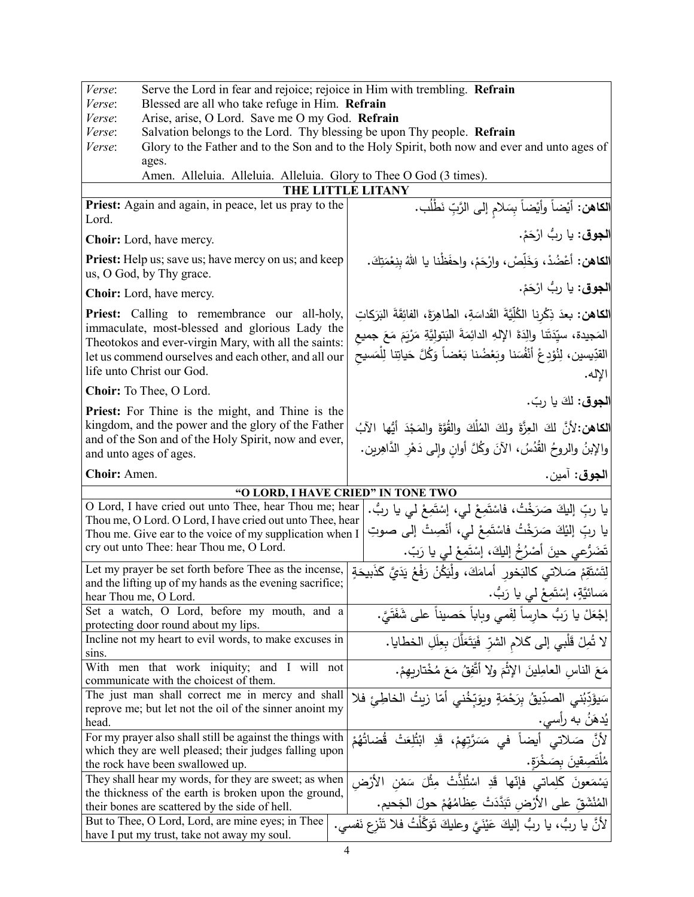|                                                                                                            | Verse:<br>Serve the Lord in fear and rejoice; rejoice in Him with trembling. Refrain                                                               |  |  |
|------------------------------------------------------------------------------------------------------------|----------------------------------------------------------------------------------------------------------------------------------------------------|--|--|
| Blessed are all who take refuge in Him. Refrain<br>Verse:                                                  |                                                                                                                                                    |  |  |
| Arise, arise, O Lord. Save me O my God. Refrain<br>Verse:                                                  |                                                                                                                                                    |  |  |
| Salvation belongs to the Lord. Thy blessing be upon Thy people. Refrain<br>Verse:                          |                                                                                                                                                    |  |  |
| Verse:                                                                                                     | Glory to the Father and to the Son and to the Holy Spirit, both now and ever and unto ages of                                                      |  |  |
| ages.                                                                                                      |                                                                                                                                                    |  |  |
| Amen. Alleluia. Alleluia. Alleluia. Glory to Thee O God (3 times).<br>THE LITTLE LITANY                    |                                                                                                                                                    |  |  |
| Priest: Again and again, in peace, let us pray to the                                                      |                                                                                                                                                    |  |  |
| Lord.                                                                                                      | ا <b>لكاهن:</b> أيْضاً وأيْضاً بِسَلام إلى الرَّبِّ نَطْلُب.                                                                                       |  |  |
| <b>Choir:</b> Lord, have mercy.                                                                            | الجوق: يا ربُّ ارْحَمْ.                                                                                                                            |  |  |
| <b>Priest:</b> Help us; save us; have mercy on us; and keep<br>us, O God, by Thy grace.                    | الكاهن: أعْضُدْ، وَخَلِّصْ، وارْحَمْ، واحفَظْنا يا اللهُ بنِعْمَتِكَ.                                                                              |  |  |
| <b>Choir:</b> Lord, have mercy.                                                                            | ا <b>لجوق</b> : يا رِبُّ ارْحَمْ.                                                                                                                  |  |  |
| <b>Priest:</b> Calling to remembrance our all-holy,                                                        | الكاهن: بعدَ ذِكْرِنا الكُلِّيَّةَ القَداسَةِ، الطاهِرَةَ، الفائِقَةَ البَرَكاتِ                                                                   |  |  |
| immaculate, most-blessed and glorious Lady the                                                             | المَجيدة، سيِّدَتَنا والِدَةَ الإِلهِ الدائِمَةَ البَتولِيَّةِ مَرْيَمَ مَعَ جميع                                                                  |  |  |
| Theotokos and ever-virgin Mary, with all the saints:                                                       | القدِّيسين، لِنُؤدِعْ أَنْفُسَنا وبَعْضُنا بَعْضاً وَكُلَّ حَياتِنا لِلْمَسيح                                                                      |  |  |
| let us commend ourselves and each other, and all our<br>life unto Christ our God.                          |                                                                                                                                                    |  |  |
|                                                                                                            | الإله.                                                                                                                                             |  |  |
| Choir: To Thee, O Lord.                                                                                    | ا <b>لجوق</b> : لكَ يا ربّ.                                                                                                                        |  |  |
| <b>Priest:</b> For Thine is the might, and Thine is the                                                    |                                                                                                                                                    |  |  |
| kingdom, and the power and the glory of the Father<br>and of the Son and of the Holy Spirit, now and ever, | الكاهن: لأنَّ لكَ العِزَّةَ ولكَ المُلْكَ والقُوَّةَ والمَجْدَ أَيُّها الآبُ                                                                       |  |  |
| and unto ages of ages.                                                                                     | والإبنُ والروحُ القُدُسُ، الآنَ وكُلَّ أوانِ وإلى دَهْرِ الدَّاهِرينِ.                                                                             |  |  |
|                                                                                                            |                                                                                                                                                    |  |  |
| Choir: Amen.                                                                                               | ا <b>لجوق</b> : آمين.                                                                                                                              |  |  |
|                                                                                                            | "O LORD, I HAVE CRIED" IN TONE TWO                                                                                                                 |  |  |
| O Lord, I have cried out unto Thee, hear Thou me; hear                                                     |                                                                                                                                                    |  |  |
| Thou me, O Lord. O Lord, I have cried out unto Thee, hear                                                  | يا ربِّ إليكَ صَرَخْتُ، فاسْتَمِعْ لي، إسْتَمِعْ لي يا ربُّ.                                                                                       |  |  |
| Thou me. Give ear to the voice of my supplication when I                                                   | يا ربِّ إليْكَ صَرَخْتُ فاسْتَمِعْ لي، أنْصِتْ إلى صوتِ                                                                                            |  |  |
| cry out unto Thee: hear Thou me, O Lord.                                                                   | تَضَرُّعي حينَ أَصْرُخُ إِليكَ، إِسْتَمِعْ لَي يا رَبّ.                                                                                            |  |  |
| Let my prayer be set forth before Thee as the incense,                                                     | لِتَسْتَقِمْ صَلاتي كالبَخور ۖ أمامَكَ، ولْيَكُنْ رَفْعُ يَدَيَّ كَذَبِيحَةٍ ۖ                                                                     |  |  |
| and the lifting up of my hands as the evening sacrifice;<br>hear Thou me, O Lord.                          | مَسائيَّةٍ، إِسْتَمِعْ لَمِي يا رَبُّ.                                                                                                             |  |  |
| Set a watch, O Lord, before my mouth, and a                                                                |                                                                                                                                                    |  |  |
| protecting door round about my lips.                                                                       | إِجْعَلْ يا رَبُّ حارِساً لِفَمي وبِاباً حَصيناً على شَفَتَيَّ.                                                                                    |  |  |
| Incline not my heart to evil words, to make excuses in<br>sins.                                            | لا تُمِلْ قَلْبِي إِلَى كَلامِ الشرِّ فَيَتَعَلَّلَ بِعِلَلِ الخطايا.                                                                              |  |  |
| With men that work iniquity; and I will not                                                                | مَعَ النَّاسِ العَامِلِينَ الإِثْمَ ولا أَتَّفِقُ مَعَ مُخْتَارِبِهِمْ.                                                                            |  |  |
| communicate with the choicest of them.                                                                     |                                                                                                                                                    |  |  |
| The just man shall correct me in mercy and shall                                                           | سَيؤَدِّبُني الصدِّيقُ بِرَحْمَةٍ ويوَبِّخُني أمّا زيتُ الخاطِئِ فلا                                                                               |  |  |
| reprove me; but let not the oil of the sinner anoint my                                                    |                                                                                                                                                    |  |  |
| head.<br>For my prayer also shall still be against the things with                                         | يُدهَنُ به راسي.<br>لأَنَّ صَلاتي أيضاً في مَسَرَّتِهمْ، قَدِ ابْتُلِعَتْ قُضاتُهُمْ                                                               |  |  |
| which they are well pleased; their judges falling upon                                                     |                                                                                                                                                    |  |  |
| the rock have been swallowed up.<br>They shall hear my words, for they are sweet; as when                  | مُلْتَصِقِينَ بِصَخْرَةٍ.                                                                                                                          |  |  |
| the thickness of the earth is broken upon the ground,                                                      | يَسْمَعونَ كَلِماتي فإنّها قَدِ اسْتُلِذّتْ مِثْلَ سَمْنِ الأَرْضِ                                                                                 |  |  |
| their bones are scattered by the side of hell.<br>But to Thee, O Lord, Lord, are mine eyes; in Thee        | المُنْشَقِّ على الأَرْضِ تَبَدَّدَتْ عِظَامُهُمْ حولَ الجَحيم.<br> <br> لأنَّ يا ربُ، يا ربُ إليكَ عَيْنَيَّ وعليكَ تَوَكَّلْتُ فلا تَنْزِع نَفسي. |  |  |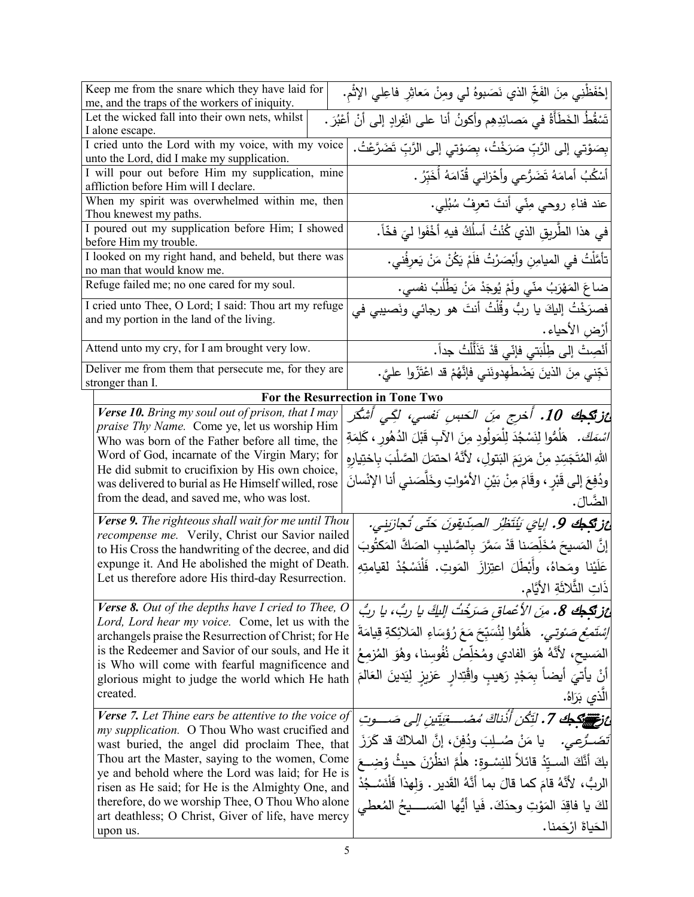| Keep me from the snare which they have laid for                                                            |  | إِحْفَظْنِي مِنَ الفَخِّ الذي نَصَبوهُ لي ومِنْ مَعاثِرِ فاعِلِي الإِثْمِ.                 |
|------------------------------------------------------------------------------------------------------------|--|--------------------------------------------------------------------------------------------|
| me, and the traps of the workers of iniquity.                                                              |  |                                                                                            |
| Let the wicked fall into their own nets, whilst                                                            |  | تَسْقُطُ الخَطَأَةُ في مَصائِدِهِم وأكونُ أنا على انْفِرادٍ إلى أنْ أَعْبُرَ .             |
| I alone escape.                                                                                            |  |                                                                                            |
| I cried unto the Lord with my voice, with my voice<br>unto the Lord, did I make my supplication.           |  | بِصَوْتي إلى الرَّبِّ صَرَخْتُ، بِصَوْتي إلى الرَّبِّ تَضَرَّعْتُ.                         |
| I will pour out before Him my supplication, mine                                                           |  | أَسْكُبُ أَمامَهُ تَضَرُّعي وأَحْزاني قُدّامَهُ أَخَبِّرُ .                                |
| affliction before Him will I declare.                                                                      |  |                                                                                            |
| When my spirit was overwhelmed within me, then                                                             |  | عند فناءِ روحي مِنّي أنتَ تعرِفُ سُبُلِي.                                                  |
| Thou knewest my paths.                                                                                     |  |                                                                                            |
| I poured out my supplication before Him; I showed<br>before Him my trouble.                                |  | في هذا الطَّرِيقِ الذي كُنْتُ أسلُكُ فيهِ أخْفَوا ليَ فخّاً.                               |
| I looked on my right hand, and beheld, but there was                                                       |  | تأمَّلْتُ في الميامِنِ وأَبْصَرْتُ فلَمْ يَكُنْ مَنْ يَعرِفُني.                            |
| no man that would know me.                                                                                 |  |                                                                                            |
| Refuge failed me; no one cared for my soul.                                                                |  | ضاعَ المَهْرَبُ منّي ولَمْ يُوجَدْ مَنْ يَطْلُبُ نفسي.                                     |
| I cried unto Thee, O Lord; I said: Thou art my refuge                                                      |  | فصرَخْتُ إليكَ يا ربُّ وقُلْتُ أنتَ هو رجائي ونَصيبي في                                    |
| and my portion in the land of the living.                                                                  |  | أرْضِ الأحياء.                                                                             |
| Attend unto my cry, for I am brought very low.                                                             |  | أَنْصِتْ إِلَى طِلْبَتي فإنّي قَدْ تَذَلَّلْتُ جِداً.                                      |
| Deliver me from them that persecute me, for they are                                                       |  | نَجِّني مِنَ الذينَ يَضْطَهِدونَني فإنَّهُمْ قد اعْتَزّوا عليَّ.                           |
| stronger than I.                                                                                           |  | For the Resurrection in Tone Two                                                           |
| Verse 10. Bring my soul out of prison, that I may                                                          |  |                                                                                            |
| praise Thy Name. Come ye, let us worship Him                                                               |  | ا <b>ِ زِنَكِمِكَ 10.</b> أُخرج مِنَ الحَبس نَفسى، لَكِّي أَشْكُر                          |
| Who was born of the Father before all time, the                                                            |  | <i>اسْمَكَ.</i> ۚ هَلُمُّوا لِنَسْجُدَ لِلْمَولُودِ مِنَ الآبِ قَبْلَ الدُهُورِ ، كَلِمَةِ |
| Word of God, incarnate of the Virgin Mary; for                                                             |  | اللهِ المُتَجَسِّدِ مِنْ مَرِيَمَ البَتولِ، لأَنَّهُ احتمَلَ الصَّلْبَ بِاختِيارِهِ        |
| He did submit to crucifixion by His own choice,                                                            |  |                                                                                            |
| was delivered to burial as He Himself willed, rose                                                         |  | ودُفِعَ إِلَى قَبْرٍ ، وقَامَ مِنْ بَيْنِ الأَمْواتِ وخَلَّصَني أنا الإِنْسانَ             |
| from the dead, and saved me, who was lost.                                                                 |  | الضَّالَ.                                                                                  |
| Verse 9. The righteous shall wait for me until Thou                                                        |  | غز <b>تكطِ 9.</b> إيايَ يَنْتَظِرُ الصِدّيقونَ حَتّى تُجازِيَنِي.                          |
| recompense me. Verily, Christ our Savior nailed                                                            |  |                                                                                            |
| to His Cross the handwriting of the decree, and did                                                        |  | إِنَّ المَسيحَ مُخَلِّصَنا قَدْ سَمَّرَ  بِالصَّليبِ الصَكَّ المَكثُوبَ                    |
| expunge it. And He abolished the might of Death.                                                           |  | عَلَيْنا ومَحاهُ، وأَبْطَلَ اعتِزازَ المَوتِ. فَلْنَسْجُدْ لقيامتِهِ                       |
| Let us therefore adore His third-day Resurrection.                                                         |  | ذَاتِ الثَّلاثَةِ الأَيَّامِ.                                                              |
| <b>Verse 8.</b> Out of the depths have I cried to Thee, $O$                                                |  | عز تكجه 8. مِنَ الأعْماقِ صَرَخْتُ اللَّكَ يا ربُّ، يا ربُّ                                |
| Lord, Lord hear my voice. Come, let us with the                                                            |  | <i>إِسْتَمِعْ صَنُوتى.</i> هَلَمُّوا لِنُسَبِّحَ مَعَ رُؤسَاءِ المَلائِكةِ قِيامَةَ        |
| archangels praise the Resurrection of Christ; for He<br>is the Redeemer and Savior of our souls, and He it |  | المَسيح، لأنَّهُ هُوَ الفادي ومُخلِّصُ نُفُوسِنا، وهُوَ المُزمِعُ                          |
| is Who will come with fearful magnificence and                                                             |  |                                                                                            |
| glorious might to judge the world which He hath<br>created.                                                |  | أَنْ يأتيَ أيضاً بِمَجْدٍ رَهيبٍ واقْتِدارِ عَزيزِ لِيَدينَ العَالمَ                       |
|                                                                                                            |  | الذي بَرَاهُ.                                                                              |
| <b>Verse</b> 7. Let Thine ears be attentive to the voice of                                                |  | عْ فَرَسِيَ الْجَمْعَةِ 7 . لَتَكُن أَذَناكَ مُصْــــغَيَتَين إِلَى صَـــوتِ               |
| my supplication. O Thou Who wast crucified and<br>wast buried, the angel did proclaim Thee, that           |  | يا مَنْ صُــلِبَ وِدُفِنَ، إِنَّ الملاكَ قد كَرَزَ<br>تضَـرَّعِي.                          |
| Thou art the Master, saying to the women, Come                                                             |  | بِكَ أَنَّكَ السِيّدُ قائلاً للنِسْـوةِ: هلُمَّ انظُرْنَ حيثُ وُضِــعَ                     |
| ye and behold where the Lord was laid; for He is<br>risen as He said; for He is the Almighty One, and      |  | الربُّ، لأَنَّهُ قامَ كما قالَ بما أَنَّهُ القَديرِ . وَلهذا فَلْنَسْـجُدْ                 |
| therefore, do we worship Thee, O Thou Who alone                                                            |  | لكَ يا فاقِدَ المَوْتِ وحدَكَ. فَيا أَيُّها المَســـــيحُ المُعطى                          |
| art deathless; O Christ, Giver of life, have mercy                                                         |  | الحَياةَ ارْحَمنا.                                                                         |
| upon us.                                                                                                   |  |                                                                                            |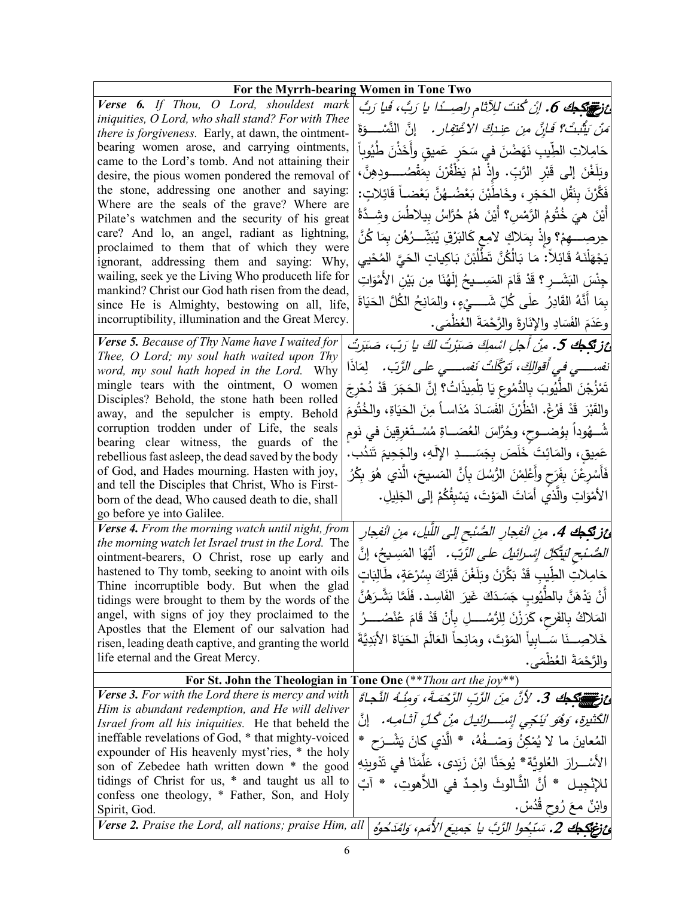| For the Myrrh-bearing Women in Tone Two                                                                   |                                                                                       |  |  |
|-----------------------------------------------------------------------------------------------------------|---------------------------------------------------------------------------------------|--|--|
| Verse 6. If Thou, O Lord, shouldest mark                                                                  | عْ ف <b>َسِيَّكِجُكَ 6.</b> اِنْ كُنتَ للِآثام راصِــدًا يا رَبُّ، فَيا رَبُّ         |  |  |
| iniquities, O Lord, who shall stand? For with Thee<br>there is forgiveness. Early, at dawn, the ointment- | َ <i>مَنْ يَثْبُتْ؟ فَإِنَّ مِن</i> ع <i>ِندكِ الاغْتفِارِ .</i> إِنَّ النَّسْـــوَةَ |  |  |
| bearing women arose, and carrying ointments,                                                              | حَامِلاتِ الطِّيبِ نَهَضْنَ في سَحَرٍ عَميقٍ وأَخَذْنَ طَيُوباً                       |  |  |
| came to the Lord's tomb. And not attaining their                                                          | وبَلَغْنَ إِلَى قَبْرِ الرَّبِّ. وإِذْ لَمْ يَظْفُرْنَ بِمَقْصُـــــودِهِنَّ،         |  |  |
| desire, the pious women pondered the removal of<br>the stone, addressing one another and saying:          |                                                                                       |  |  |
| Where are the seals of the grave? Where are                                                               | فَكَّرْنَ بِنَقْلِ الحَجَرِ ، وخَاطَبْنَ بَعْضُــهُنَّ بَعْضــاً قَائِلاتٍ:           |  |  |
| Pilate's watchmen and the security of his great                                                           | أَيْنَ هِيَ خُتُومُ الرَّمْسِ؟ أَيْنَ هُمْ حُرَّاسُ بِيلاطَسَ وشِـدَّةُ               |  |  |
| care? And lo, an angel, radiant as lightning,                                                             | حِرِصِــــهِمْ؟ وإِذْ بِمَلاكٍ لامِع كَالبَرْقِ يُبَشِّــرُهُن بِمَا كُنَّ            |  |  |
| proclaimed to them that of which they were<br>ignorant, addressing them and saying: Why,                  | يَجْهَلْنَهُ قَائِلاً: مَا بَالْكُنَّ تَطْلُبْنَ بَاكِياتٍ الْحَيَّ الْمُحْيي         |  |  |
| wailing, seek ye the Living Who produceth life for                                                        | جِنْسَ البَشَـــرِ ؟ قَدْ قَامَ المَسِـــيحُ إِلَهُنَا مِن بَيْنِ الأَمْوَاتِ         |  |  |
| mankind? Christ our God hath risen from the dead,                                                         |                                                                                       |  |  |
| since He is Almighty, bestowing on all, life,                                                             | بِمَا أَنَّهُ الْقَادِرُ ۖ علَى كُلِّ شَــــيْءٍ، والمَانِحُ الكُلَّ الْحَيَاةَ       |  |  |
| incorruptibility, illumination and the Great Mercy.                                                       | وعَدَمَ الفَسَادِ والإِنَارةَ والرَّحْمَةَ العُظْمَى.                                 |  |  |
| Verse 5. Because of Thy Name have I waited for                                                            | غز تَجَجَّه 5. مِنْ أَجْلِ اسْمِكَ صَبْرِتُ لَكَ يا رَبِّ، صَبَرتُ                    |  |  |
| Thee, O Lord; my soul hath waited upon Thy<br>word, my soul hath hoped in the Lord. Why                   | نفســــى فـى أقوالكِ، تَوكَّلَتْ نَفســــي علـى الرَّبّ.     لِمَاذَا                 |  |  |
| mingle tears with the ointment, O women                                                                   | تَمْزُجْنَ الطَّيُوبَ بِالدُّمُوعِ يَا تِلْمِيذَاتُ؟ إنَّ الحَجَرَ قَدْ دُحْرِجَ      |  |  |
| Disciples? Behold, the stone hath been rolled                                                             | والقَبْرَ قَدْ فَرُغَ. انْظُرْنَ الفَسَـادَ مُدَاسـاً مِنَ الْحَيَاةِ، والخُتُومَ     |  |  |
| away, and the sepulcher is empty. Behold<br>corruption trodden under of Life, the seals                   |                                                                                       |  |  |
| bearing clear witness, the guards of the                                                                  | شُــهُوداً بِوُضـــوح، وحُرَّاسَ العُصَـــاةِ مُسْــتَغرِقِينَ في نَوم                |  |  |
| rebellious fast asleep, the dead saved by the body                                                        | عَمِيقٍ، والمَائِتَ خَلَصَ بِجَسَــــدِ الإِلَـهِ، والجَحِيمَ تَندُب.                 |  |  |
| of God, and Hades mourning. Hasten with joy,                                                              | فَأَسْرِعْنَ بِفَرَحٍ وأَعْلِمْنَ الرُّسُلَ بِأَنَّ المَسيحَ، الَّذي هُوَ بِكْرُ      |  |  |
| and tell the Disciples that Christ, Who is First-                                                         | الأَمْوَاتِ والَّذي أَمَاتَ المَوْتَ، يَسْبِقُكُمْ إِلَى الْجَلِيلِ.                  |  |  |
| born of the dead, Who caused death to die, shall<br>go before ye into Galilee.                            |                                                                                       |  |  |
| Verse 4. From the morning watch until night, from                                                         | فِرْتِكِجْكَ 4. مِن انْفِجار الصُّنْبِح إلى اللَّيلِ، مِن انْفِجار                    |  |  |
| the morning watch let Israel trust in the Lord. The                                                       |                                                                                       |  |  |
| ointment-bearers, O Christ, rose up early and                                                             | <i>الصُّنْحِ لَيَتَّكَلِّ إِسْرائَيلُ على الزَّبِّ.</i> أَيُّهَا المَسِيحُ، إنَّ      |  |  |
| hastened to Thy tomb, seeking to anoint with oils<br>Thine incorruptible body. But when the glad          | حَامِلاتِ الطِّيبِ قَدْ بَكّْرْنَ وبَلَغْنَ قَبْرَكَ بِسُرْعَةٍ، طَالِبَاتٍ           |  |  |
| tidings were brought to them by the words of the                                                          | أَنْ يَدْهَنَّ بِالطِّيُوبِ جَسَدَكَ غَيرَ  الفَاسِد. فَلَمَّا بَشَّرَهُنَّ           |  |  |
| angel, with signs of joy they proclaimed to the                                                           | المَلاكُ بِالفَرحِ، كَرَزْنَ لِلرُّسُـــــلِ بِأَنْ قَدْ قَامَ عُنْصُـــــرُ          |  |  |
| Apostles that the Element of our salvation had<br>risen, leading death captive, and granting the world    | خَلاصِـــذَا سَـــابياً المَوْتَ، ومَانِحاً العَالَمَ الحَيَاةَ الأَبَدِيَّةَ         |  |  |
| life eternal and the Great Mercy.                                                                         | والرَّحْمَةَ العُظْمَىِ.                                                              |  |  |
| For St. John the Theologian in Tone One (** Thou art the joy**)                                           |                                                                                       |  |  |
| <b>Verse 3.</b> For with the Lord there is mercy and with                                                 | عْ فَرَضَ فَيَ الْمَدِينَ مِنَ الرَّبِّ الرَّحْمَـةَ، وَمِنْـهُ النَّجاةَ             |  |  |
| Him is abundant redemption, and He will deliver                                                           | الكَثيرة، وَهُوَ 'يَنَجِّي إِسْكِرائِيلَ مِنْ كُلِّ آثامِهِ. [نَّ                     |  |  |
| Israel from all his iniquities. He that beheld the<br>ineffable revelations of God, * that mighty-voiced  |                                                                                       |  |  |
| expounder of His heavenly myst'ries, * the holy                                                           | المُعاينَ ما لا يُمْكِنُ وَصْـــفُهُ، * الَّذي كانَ يَشْــرَح                         |  |  |
| son of Zebedee hath written down * the good                                                               | الأَسْـــرارَ  العُلويَّة*  يُوحَنَّا ابْنَ زَبَدى،  عَلَّمَنَا في تَدْوينِهِ         |  |  |
| tidings of Christ for us, * and taught us all to                                                          | للإِنْجِيل * أَنَّ الثَّالوثَ واحِدٌ في اللاَّهوتِ،                                   |  |  |
| confess one theology, * Father, Son, and Holy                                                             | وابْنٌ معَ رُوحٍ قَدُسْ.                                                              |  |  |
| Spirit, God.<br>Verse 2. Praise the Lord, all nations; praise Him, all                                    | ئ زغاكمك 2. سَبْحوا الرَّبَّ يا جَمِيعَ الأَمَمِ، وَامْدَحُوهُ                        |  |  |
| 6                                                                                                         |                                                                                       |  |  |
|                                                                                                           |                                                                                       |  |  |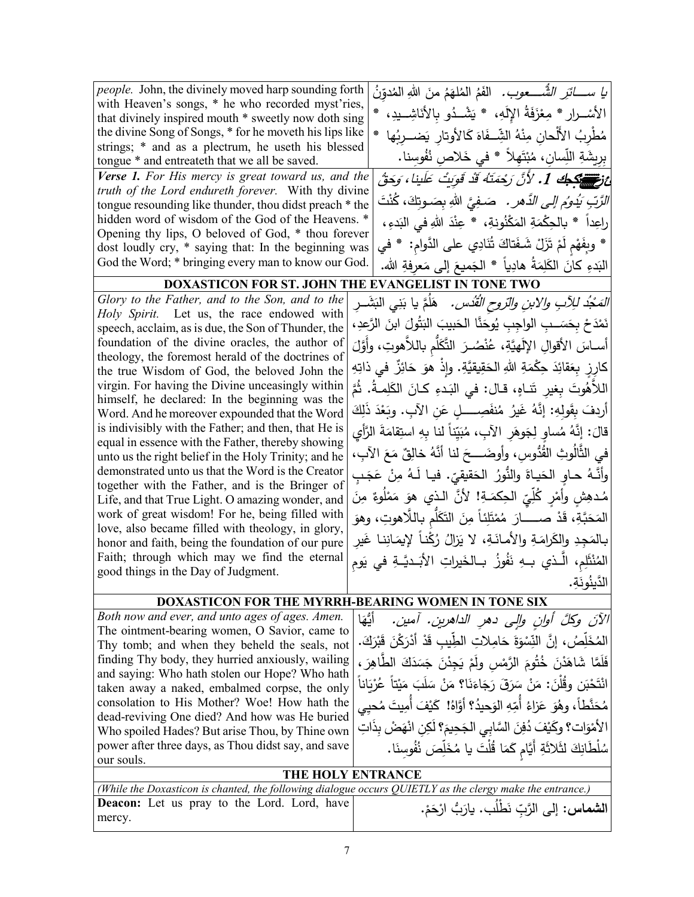| <i>people.</i> John, the divinely moved harp sounding forth                                                         | <i>يا ســــائزِ الشَّــــعوب.</i> الفَمُ المُلهَمُ منَ اللهِ المُدوّنُ          |  |
|---------------------------------------------------------------------------------------------------------------------|---------------------------------------------------------------------------------|--|
| with Heaven's songs, * he who recorded myst'ries,                                                                   | الأَسْـــرار * مِعْزَفَةُ الإَلَهِ، * يَشْـــدُو بالأَنَاشِـــيدِ،              |  |
| that divinely inspired mouth * sweetly now doth sing<br>the divine Song of Songs, * for he moveth his lips like     |                                                                                 |  |
| strings; * and as a plectrum, he useth his blessed                                                                  | مُطْرِبُ الأَلْحانِ مِنْهُ الشِّــفَاهَ كَالأُوتارِ يَضـــربُها *               |  |
| tongue * and entreateth that we all be saved.                                                                       | بِرِيشَةِ اللِّسانِ، مُبْتَهِلاً * في خَلاصٍ نُفُوسِنا.                         |  |
| <b>Verse 1.</b> For His mercy is great toward us, and the                                                           | ئ في السَّوْجِعِ مِنْ 1 لِأَنَّ رَجْمَتَهُ قَدْ قَوَيتُ عَلَينا، وَجَقُّ        |  |
| truth of the Lord endureth forever. With thy divine                                                                 | الرَّبِّ يَدُومُ إلى الدَّهرِ . ۖ صَـفِيَّ اللهِ بِصَـوتِكَ، كُنْتَ             |  |
| tongue resounding like thunder, thou didst preach * the                                                             |                                                                                 |  |
| hidden word of wisdom of the God of the Heavens. *                                                                  | راعِداً * بالحِكْمَةِ المَكْنُونةِ، * عِنْدَ اللهِ في البَدءِ ،                 |  |
| Opening thy lips, O beloved of God, * thou forever                                                                  | * وبِفَهْم لَمْ تَزَلْ شَفَتاكَ تُنَادِي على الدَّوام: * في                     |  |
| dost loudly cry, * saying that: In the beginning was<br>God the Word; * bringing every man to know our God.         | البَدءِ كانَ الكَلِمَةُ هادِياً * الجَميعَ إلى مَعرِفةِ الله.                   |  |
|                                                                                                                     | DOXASTICON FOR ST. JOHN THE EVANGELIST IN TONE TWO                              |  |
| Glory to the Father, and to the Son, and to the                                                                     |                                                                                 |  |
| Holy Spirit. Let us, the race endowed with                                                                          | <i>المَجْدُ لِلِآبِ والابنِ والرّوحِ القُدْسِ.</i> هَلَمَّ يا بَنِي البَشَــرِ  |  |
| speech, acclaim, as is due, the Son of Thunder, the                                                                 | نَمْدَحْ بِحَسَــبِ الْواجِبِ يُوحَنَّا الحَبيبَ البَتُولَ ابنَ الرَّعدِ،       |  |
| foundation of the divine oracles, the author of                                                                     | أســاسَ الأقوالِ الإِلَـهيَّةِ، عُنْصُــرَ النَّكَلَّم باللأهوتِ، وأوَّلَ       |  |
| theology, the foremost herald of the doctrines of                                                                   |                                                                                 |  |
| the true Wisdom of God, the beloved John the                                                                        | كارِزِ بِعَقائِدَ حِكْمَةِ اللهِ الحَقِيقيَّةِ. وإذْ هوَ حَائِزٌ في ذاتِهِ      |  |
| virgin. For having the Divine unceasingly within<br>اللأَهُوتَ بِغيرِ تَناهٍ، قال: في البَدءِ كانَ الكَلِمةُ. ثُمَّ |                                                                                 |  |
| himself, he declared: In the beginning was the                                                                      |                                                                                 |  |
| Word. And he moreover expounded that the Word                                                                       | أَرِدفَ بِقَوْلِهِ: إِنَّهُ غَيْرُ مُنفَصِـــــلِ عَنِ الْأَبِ. وبَعْدَ ذَٰلِكَ |  |
| is indivisibly with the Father; and then, that He is                                                                | قالَ: إنَّهُ مُساوٍ لِجَوهَرِ الآبِ، مُبَيِّناً لنا بِهِ استِقامَةَ الزَّأْيِ   |  |
| equal in essence with the Father, thereby showing                                                                   | في الثَّالُوثِ القُدُوسِ، وأُوضَــــحَ لَنا أَنَّهُ خَالِقٌ مَعَ الآبِ،         |  |
| unto us the right belief in the Holy Trinity; and he                                                                |                                                                                 |  |
| demonstrated unto us that the Word is the Creator<br>together with the Father, and is the Bringer of                | وأنَّهُ حـاوِ الحَيـاةَ والنُّورُ  الحَقيقيِّ. فيـا لَـهُ مِنْ عَجَـبِ          |  |
| Life, and that True Light. O amazing wonder, and                                                                    | مُـدهِشٍ وأَمْرٍ كُلِّيٍّ الْحِكْمَـةِ! لأَنَّ الَّـذي هوَ مَمْلُوءٌ مِنَ       |  |
| work of great wisdom! For he, being filled with                                                                     | المَحَبَّةِ، قَدْ صــــــارَ مُمْتَلِئاً مِنَ التَكَلَّم بـاللَّاهوتِ، وهوَ     |  |
| love, also became filled with theology, in glory,                                                                   | بـالمَجِدِ والكَرامَـةِ والأمـانَـةِ، لا يَزالُ رُكْنـاً لإيمَـانِنـا غَيرِ     |  |
| honor and faith, being the foundation of our pure<br>Faith; through which may we find the eternal                   |                                                                                 |  |
| good things in the Day of Judgment.                                                                                 | المُنْتَلِم، الَّـذي بــهِ نَفُوزُ بــالخَيراتِ الأَبَــديَّــةِ في يَوم        |  |
|                                                                                                                     | الدَّينُونَةِ.                                                                  |  |
|                                                                                                                     | <b>DOXASTICON FOR THE MYRRH-BEARING WOMEN IN TONE SIX</b>                       |  |
| Both now and ever, and unto ages of ages. Amen.                                                                     | أَيُّهَا<br>الآنَ وكلَّ أوانِ والِي دهرِ الداهرينِ. آمينِ.                      |  |
| The ointment-bearing women, O Savior, came to<br>Thy tomb; and when they beheld the seals, not                      | الْمُخَلِّصُ، إِنَّ النِّسْوَةَ حَامِلاتِ الطِّيبِ قَدْ أَدْرَكْنَ قَبْرَكَ.    |  |
| finding Thy body, they hurried anxiously, wailing                                                                   | فَلَمَّا شَاهَدْنَ خُتُومَ الرَّمْسِ ولَمْ يَجِدْنَ جَسَدَكَ الطَّاهِرَ ،       |  |
| and saying: Who hath stolen our Hope? Who hath                                                                      | انْتَحْبَنِ وِقُلْنَ: مَنْ سَرَقَ رَجَاءَنَا؟ مَنْ سَلَبَ مَيْتاً عُرْبَاناً    |  |
| taken away a naked, embalmed corpse, the only                                                                       |                                                                                 |  |
| consolation to His Mother? Woe! How hath the                                                                        | مُحَنَّطاً، وهُوَ عَزاءُ أُمِّهِ الوَحيدُ؟ أَوَّاهُ!  كَيْفَ أُمِيتَ مُحيى      |  |
| dead-reviving One died? And how was He buried<br>Who spoiled Hades? But arise Thou, by Thine own                    | الأَمْوَات؟ وكَيْفَ دُفِنَ السَّابِي الْجَحِيمَ؟ لَكِنِ انْهَضْ بِذَاتِ         |  |
| power after three days, as Thou didst say, and save                                                                 |                                                                                 |  |
| our souls.                                                                                                          | سُلْطَانِكَ لثَلاثَةِ أَيَّامٍ كَمَا قُلْتَ يا مُخَلِّصَ نُفُوسِنَا.            |  |
|                                                                                                                     | THE HOLY ENTRANCE                                                               |  |
| (While the Doxasticon is chanted, the following dialogue occurs QUIETLY as the clergy make the entrance.)           |                                                                                 |  |
| <b>Deacon:</b> Let us pray to the Lord. Lord, have                                                                  | ا <b>لشماس:</b> إلى الرَّبِّ نَطْلُبٍ. يارَبُّ ارْحَمْ.                         |  |
| mercy.                                                                                                              |                                                                                 |  |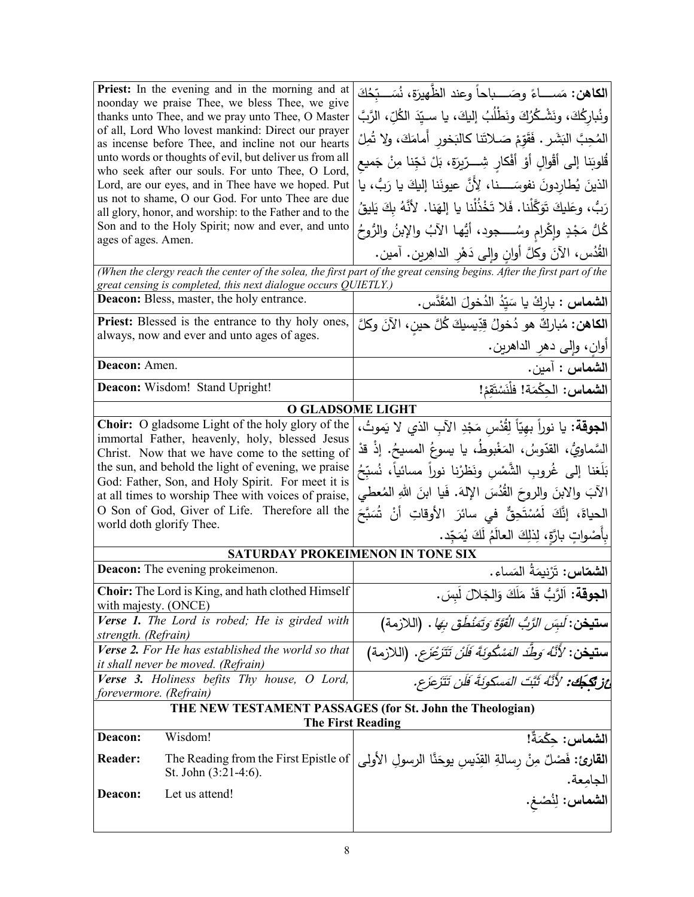| Priest: In the evening and in the morning and at<br>noonday we praise Thee, we bless Thee, we give<br>thanks unto Thee, and we pray unto Thee, O Master<br>of all, Lord Who lovest mankind: Direct our prayer<br>as incense before Thee, and incline not our hearts<br>unto words or thoughts of evil, but deliver us from all<br>who seek after our souls. For unto Thee, O Lord,<br>Lord, are our eyes, and in Thee have we hoped. Put<br>us not to shame, O our God. For unto Thee are due<br>all glory, honor, and worship: to the Father and to the<br>Son and to the Holy Spirit; now and ever, and unto<br>ages of ages. Amen. | ا <b>لكاهن:</b> مَســــاءً وصَـــــباحاً وعند الظّهيرَة، نُسَـــبّحُكَ<br>ونُباركُكَ، ونَشْكُرُكَ ونَطْلُبُ إليكَ، يا سـيِّدَ الكُلِّ، الرَّبَّ<br>المُحِبَّ النِّشَرِ . فَقَوّمْ صَـلاتَنا كالنِّخور أَمامَكَ، ولا تُمِلْ<br>قُلوبَنا إلى أقْوالِ أَوْ أَفْكار شِـــرّيرَة، بَلْ نَجِّنا مِنْ جَميع<br>الذينَ يُطارِدونَ نفوسَـــــنا، لِأَنَّ عيونَنا إليكَ يا رَبُّ، يا<br>رَبُّ، وعَليكَ تَوَكَّلْنا. فَلا تَخْذُلْنا يا إلهَنا. لأنَّهُ بكَ يَليقُ<br>كُلُّ مَجْدٍ وإِكْرامٍ وسُــــجود، أَيُّها الآبُ والإِبنُ والرُّوحُ<br>القُدُس، الآنَ وكلَّ أوان وإلى دَهْرِ الداهِرينِ. آمين. |  |
|---------------------------------------------------------------------------------------------------------------------------------------------------------------------------------------------------------------------------------------------------------------------------------------------------------------------------------------------------------------------------------------------------------------------------------------------------------------------------------------------------------------------------------------------------------------------------------------------------------------------------------------|-------------------------------------------------------------------------------------------------------------------------------------------------------------------------------------------------------------------------------------------------------------------------------------------------------------------------------------------------------------------------------------------------------------------------------------------------------------------------------------------------------------------------------------------------------------------------------------------|--|
| great censing is completed, this next dialogue occurs QUIETLY.)                                                                                                                                                                                                                                                                                                                                                                                                                                                                                                                                                                       | (When the clergy reach the center of the solea, the first part of the great censing begins. After the first part of the                                                                                                                                                                                                                                                                                                                                                                                                                                                                   |  |
| <b>Deacon:</b> Bless, master, the holy entrance.                                                                                                                                                                                                                                                                                                                                                                                                                                                                                                                                                                                      | الشماس : باركْ يا سَيّدُ الدُخولَ المُقَدَّس.                                                                                                                                                                                                                                                                                                                                                                                                                                                                                                                                             |  |
| <b>Priest:</b> Blessed is the entrance to thy holy ones,<br>always, now and ever and unto ages of ages.                                                                                                                                                                                                                                                                                                                                                                                                                                                                                                                               | ا <b>لكاهن:</b> مُباركٌ هو دُخولُ قِدِّيسيكَ كُلَّ حين، الآنَ وكلَّ<br>أوانِ، وإلى دهر الداهرين.                                                                                                                                                                                                                                                                                                                                                                                                                                                                                          |  |
| Deacon: Amen.                                                                                                                                                                                                                                                                                                                                                                                                                                                                                                                                                                                                                         | الشماس : آمين.                                                                                                                                                                                                                                                                                                                                                                                                                                                                                                                                                                            |  |
| Deacon: Wisdom! Stand Upright!                                                                                                                                                                                                                                                                                                                                                                                                                                                                                                                                                                                                        | ا <b>لشماس:</b> الحكْمَة! فلْنَسْتَقِمْ!                                                                                                                                                                                                                                                                                                                                                                                                                                                                                                                                                  |  |
|                                                                                                                                                                                                                                                                                                                                                                                                                                                                                                                                                                                                                                       | O GLADSOME LIGHT                                                                                                                                                                                                                                                                                                                                                                                                                                                                                                                                                                          |  |
| Choir: O gladsome Light of the holy glory of the<br>immortal Father, heavenly, holy, blessed Jesus<br>Christ. Now that we have come to the setting of<br>the sun, and behold the light of evening, we praise<br>God: Father, Son, and Holy Spirit. For meet it is<br>at all times to worship Thee with voices of praise,<br>O Son of God, Giver of Life. Therefore all the<br>world doth glorify Thee.                                                                                                                                                                                                                                | ا <b>لجوقة:</b> يا نوراً بهِيّاً لِقُدْس مَجْدِ الآبِ الذي لا يَموتُ،<br>السَّماويُّ، القدّوسُ، المَغْبوطُ، يا يسوعُ المسيحُ. إذْ قدْ<br>بَلَغنا إلى غُروبِ الشَّمْسِ ونَظرْنا نوراً مسائياً، نُسبّحُ<br>الآبَ والابنَ والروحَ القُدُسَ الإلهَ. فَيا ابنَ اللهِ المُعطي<br>الحياةَ، إنَّكَ لَمُسْتَحِقٌّ في سائرَ الأوقاتِ أنْ شُبَحَ<br>بِأَصْواتٍ بارَّةٍ، لِذلِكَ العالَمُ لَكَ يُمَجِّد.                                                                                                                                                                                              |  |
| SATURDAY PROKEIMENON IN TONE SIX                                                                                                                                                                                                                                                                                                                                                                                                                                                                                                                                                                                                      |                                                                                                                                                                                                                                                                                                                                                                                                                                                                                                                                                                                           |  |
| Deacon: The evening prokeimenon.                                                                                                                                                                                                                                                                                                                                                                                                                                                                                                                                                                                                      | ا <b>لشمّاس:</b> تَرْنِيمَةُ المَساء.                                                                                                                                                                                                                                                                                                                                                                                                                                                                                                                                                     |  |
| Choir: The Lord is King, and hath clothed Himself<br>with majesty. (ONCE)                                                                                                                                                                                                                                                                                                                                                                                                                                                                                                                                                             | ا <b>لجوقة:</b> اَلرَّبُ قَدْ مَلَكَ وَالجَلالَ لَبِسَ.                                                                                                                                                                                                                                                                                                                                                                                                                                                                                                                                   |  |
| Verse 1. The Lord is robed; He is girded with<br>strength. (Refrain)                                                                                                                                                                                                                                                                                                                                                                                                                                                                                                                                                                  | <b>ستيخن:</b> لَب <i>ِسَ الرَّبُّ الْقُوَّةَ وَتَمَنْطُقَ بِهَا</i> . (اللازمة)                                                                                                                                                                                                                                                                                                                                                                                                                                                                                                           |  |
| Verse 2. For He has established the world so that<br><i>it shall never be moved. (Refrain)</i>                                                                                                                                                                                                                                                                                                                                                                                                                                                                                                                                        | <b>ستيخن:</b> ' <i>لأَنَّهُ وَطُّدَ المَسْكُونَةَ فَلَنْ تَتَزَعْزَع.</i> (اللازمة)                                                                                                                                                                                                                                                                                                                                                                                                                                                                                                       |  |
| Verse 3. Holiness befits Thy house, O Lord,<br>forevermore. (Refrain)                                                                                                                                                                                                                                                                                                                                                                                                                                                                                                                                                                 | عْزِيْكَجُكْ: لأَنَّهُ ثَبَّتَ المَسكونَةَ فَلَن تَتَزَعَزَع.                                                                                                                                                                                                                                                                                                                                                                                                                                                                                                                             |  |
| THE NEW TESTAMENT PASSAGES (for St. John the Theologian)                                                                                                                                                                                                                                                                                                                                                                                                                                                                                                                                                                              |                                                                                                                                                                                                                                                                                                                                                                                                                                                                                                                                                                                           |  |
| Wisdom!<br>Deacon:                                                                                                                                                                                                                                                                                                                                                                                                                                                                                                                                                                                                                    | <b>The First Reading</b><br>الشماس: حكْمَةٌ!                                                                                                                                                                                                                                                                                                                                                                                                                                                                                                                                              |  |
| Reader:<br>The Reading from the First Epistle of<br>St. John (3:21-4:6).                                                                                                                                                                                                                                                                                                                                                                                                                                                                                                                                                              | ا <b>لقارئ:</b> فَصْلٌ مِنْ رِسالةِ القِدّيسِ يوحَنَّا الرسولِ الأولى                                                                                                                                                                                                                                                                                                                                                                                                                                                                                                                     |  |
| Let us attend!<br>Deacon:                                                                                                                                                                                                                                                                                                                                                                                                                                                                                                                                                                                                             | الجامِعة.<br>ا <b>لشماس</b> : لِنُصْغِ.                                                                                                                                                                                                                                                                                                                                                                                                                                                                                                                                                   |  |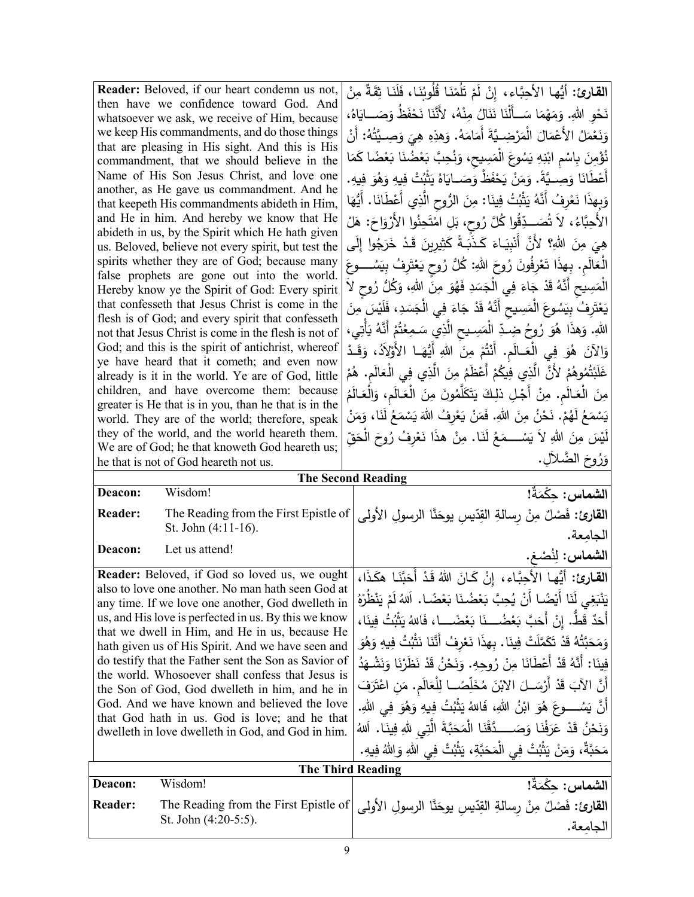| Reader: Beloved, if our heart condemn us not,                                                             | القارئ: أَيُّها الأَحِبَّاء، إنْ لَمْ تَلُمْنَا قُلُوبُنَا، فَلَنَا ثِقَةٌ مِنْ         |
|-----------------------------------------------------------------------------------------------------------|-----------------------------------------------------------------------------------------|
| then have we confidence toward God. And                                                                   | نَحْوِ اللّهِ. وَمَهْمَا سَـــأَلْنَا نَنَالُ مِنْهُ، لأَنَّنَا نَحْفَظُ وَصَـــايَاهُ، |
| whatsoever we ask, we receive of Him, because<br>we keep His commandments, and do those things            |                                                                                         |
| that are pleasing in His sight. And this is His                                                           | وَنَعْمَلُ الأَعْمَالَ الْمَرْضِـيَّةَ أَمَامَهُ. وَهذِهِ هِيَ وَصِـيَّتُهُ: أَنْ       |
| commandment, that we should believe in the                                                                | نُؤْمِنَ بِاسْمِ ابْنِهِ يَسُوعَ الْمَسِيحِ، وَنُحِبَّ بَعْضُنَا بَعْضًا كَمَا          |
| Name of His Son Jesus Christ, and love one                                                                | أَعْطَانَا وَصِــيَّةً. وَمَنْ يَحْفَظْ وَصَــايَاهُ يَثْبُتْ فِيهِ وَهُوَ فِيهِ.       |
| another, as He gave us commandment. And he                                                                | وَبِهِذَا نَعْرِفُ أَنَّهُ يَثْبُتُ فِينَا: مِنَ الرُّوحِ الَّذِي أَعْطَانَا. أَيُّهَا  |
| that keepeth His commandments abideth in Him,                                                             |                                                                                         |
| and He in him. And hereby we know that He<br>abideth in us, by the Spirit which He hath given             | الأَحِبَّاءُ، لاَ تُصَــدِّقُوا كُلَّ رُوحٍ، بَلِ امْتَحِنُوا الأَرْوَاحَ: هَلْ         |
| us. Beloved, believe not every spirit, but test the                                                       | هِيَ مِنَ اللَّهِ؟ لأَنَّ أَنْبِيَـاءَ كَـذَبَـةً كَثِيرِينَ قَـدْ خَرَجُوا إِلَـى      |
| spirits whether they are of God; because many                                                             | الْمَعَالَم. بِهذَا تَعْرِفُونَ رُوحَ اللَّهِ: كُلُّ رُوحٍ يَعْتَرِفُ بِيَسُـــــوعَ    |
| false prophets are gone out into the world.                                                               |                                                                                         |
| Hereby know ye the Spirit of God: Every spirit                                                            | الْمَسِيحِ أَنَّهُ قَدْ جَاءَ فِي الْجَسَدِ فَهُوَ مِنَ اللَّهِ، وَكُلُّ رُوحٍ لاَ      |
| that confesseth that Jesus Christ is come in the<br>flesh is of God; and every spirit that confesseth     | يَعْتَرِفُ بِيَسُوعَ الْمَسِيحِ أَنَّهُ قَدْ جَاءَ فِي الْجَسَدِ، فَلَيْسَ مِنَ         |
| not that Jesus Christ is come in the flesh is not of                                                      | اللهِ. وَهذَا هُوَ رُوحُ ضِـدِّ الْمَسِـيحِ الَّذِي سَـمِعْتُمْ أَنَّهُ يَأْتِي،        |
| God; and this is the spirit of antichrist, whereof                                                        | وَالآنَ هُوَ فِي الْعَـالَمِ. أَنْتُمْ مِنَ اللهِ أَيُّهَـا الأَوْلاَذُ، وَقَـذ         |
| ye have heard that it cometh; and even now                                                                |                                                                                         |
| already is it in the world. Ye are of God, little                                                         | غَلَبْتُمُوهُمْ لأَنَّ الَّذِي فِيكُمْ أَعْظَمُ مِنَ الَّذِي فِي الْعَالَمِ. هُمْ       |
| children, and have overcome them: because<br>greater is He that is in you, than he that is in the         | مِنَ الْعَالَمِ. مِنْ أَجْلِ ذٰلِكَ يَتَكَلَّمُونَ مِنَ الْعَالَمِ، وَالْعَالَمُ        |
| world. They are of the world; therefore, speak                                                            | يَسْمَعُ لَهُمْ. نَحْنُ مِنَ اللهِ. فَمَنْ يَعْرِفُ اللهَ يَسْمَعُ لَذَا، وَمَنْ        |
| they of the world, and the world heareth them.                                                            | لَيْسَ مِنَ اللَّهِ لاَ يَسْـــمَعُ لَذَا. مِنْ هذَا نَعْرِفُ رُوحَ الْحَقّ             |
| We are of God; he that knoweth God heareth us;                                                            |                                                                                         |
| he that is not of God heareth not us.                                                                     | وَرُوحَ الضَّلاَلِ.                                                                     |
| Wisdom!<br>Deacon:                                                                                        | <b>The Second Reading</b>                                                               |
|                                                                                                           | ا <b>لشماس:</b> حِكْمَةٌ!                                                               |
| <b>Reader:</b><br>The Reading from the First Epistle of<br>St. John (4:11-16).                            | ا <b>لقارئ:</b> فَصْلٌ مِنْ رِسالةِ القِدّيسِ يوحَنَّا الرسولِ الأولى                   |
|                                                                                                           | الجامعة.                                                                                |
| Deacon:<br>Let us attend!                                                                                 | الشماس: لِنُصْغ.                                                                        |
| <b>Reader:</b> Beloved, if God so loved us, we ought                                                      | القارئ: أَيُّها الأَحِبَّاء، إنْ كَانَ اللهُ قَدْ أَحَبَّنَا هكَذَا،                    |
| also to love one another. No man hath seen God at                                                         | يَنْبَغِي لَنَا أَيْضًا أَنْ يُحِبَّ بَعْضُنَا بَعْضًا. اَللهُ لَمْ يَنْظُرْهُ          |
| any time. If we love one another, God dwelleth in<br>us, and His love is perfected in us. By this we know | أَحَدٌ قَطٍّ. إنْ أَحَبَّ بَعْضُـــذَا بَعْضَــــا، فَاللهُ يَثْبُتُ فِينَا،            |
| that we dwell in Him, and He in us, because He                                                            |                                                                                         |
| hath given us of His Spirit. And we have seen and                                                         | وَمَحَبَّتُهُ قَدْ تَكَمَّلَتْ فِينَا. بهذَا نَعْرِفُ أَنَّنَا نَثْبُتُ فِيهِ وَهُوَ    |
| do testify that the Father sent the Son as Savior of                                                      | فِينَا: أَنَّهُ قَدْ أَعْطَانَا مِنْ رُوِجِهِ. وَنَحْنُ قَدْ نَظَرْنَا وَنَشْهَدُ       |
| the world. Whosoever shall confess that Jesus is<br>the Son of God, God dwelleth in him, and he in        | أَنَّ الآبَ قَدْ أَرْسَــلَ الابْنَ مُخَلِّصًـــا لِلْعَالَمِ. مَن اعْتَرَفَ            |
| God. And we have known and believed the love                                                              | أَنَّ يَسُــــــوعَ هُوَ ابْنُ اللهِ، فَاللهُ يَثْبُتُ فِيهِ وَهُوَ فِي اللهِ.          |
| that God hath in us. God is love; and he that                                                             |                                                                                         |
| dwelleth in love dwelleth in God, and God in him.                                                         | وَنَحْنُ قَدْ عَرَفْنَا وَصَــــدَّقْنَا الْمَحَبَّةَ الَّتِي لِلَّهِ فِينَا. اَللهُ    |
|                                                                                                           | مَحَبَّةٌ، وَمَنْ يَثْبُتْ فِي الْمَحَبَّةِ، يَثْبُتْ فِي اللهِ وَاللهُ فِيهِ.          |
|                                                                                                           | <b>The Third Reading</b>                                                                |
| Wisdom!<br>Deacon:                                                                                        | الشماس: حكْمَةٌ!                                                                        |
| <b>Reader:</b><br>The Reading from the First Epistle of                                                   | ا <b>لقارئ:</b> فَصْلٌ مِنْ رِسالةِ القِدّيسِ يوحَنَّا الرسولِ الأولى                   |
| St. John (4:20-5:5).                                                                                      | الجامعة.                                                                                |
|                                                                                                           |                                                                                         |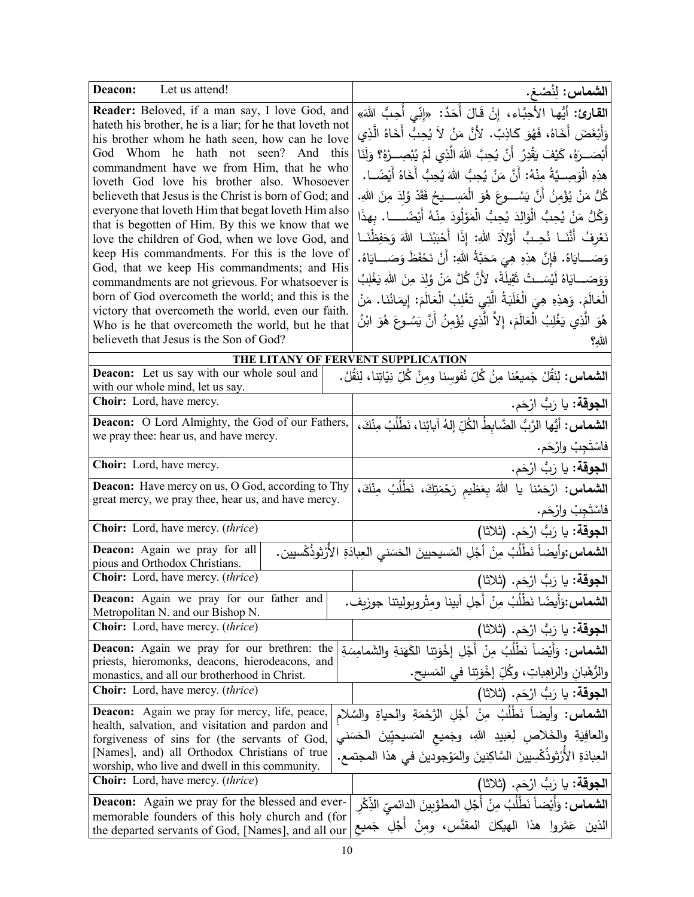| Deacon:<br>Let us attend!                                                                                                                                                                                                                                                                                                                                                                                                                                                                                                                                                                                                | الشماس: لِنُصْغ.                                                                                                                                                                                                                                                                                                                                                                                                                                                                                                                                                                                                                                                                                                                                                                         |  |
|--------------------------------------------------------------------------------------------------------------------------------------------------------------------------------------------------------------------------------------------------------------------------------------------------------------------------------------------------------------------------------------------------------------------------------------------------------------------------------------------------------------------------------------------------------------------------------------------------------------------------|------------------------------------------------------------------------------------------------------------------------------------------------------------------------------------------------------------------------------------------------------------------------------------------------------------------------------------------------------------------------------------------------------------------------------------------------------------------------------------------------------------------------------------------------------------------------------------------------------------------------------------------------------------------------------------------------------------------------------------------------------------------------------------------|--|
| Reader: Beloved, if a man say, I love God, and<br>hateth his brother, he is a liar; for he that loveth not<br>his brother whom he hath seen, how can he love<br>God Whom he hath not seen? And this<br>commandment have we from Him, that he who<br>loveth God love his brother also. Whosoever<br>believeth that Jesus is the Christ is born of God; and<br>everyone that loveth Him that begat loveth Him also<br>that is begotten of Him. By this we know that we<br>love the children of God, when we love God, and<br>keep His commandments. For this is the love of<br>God, that we keep His commandments; and His | ا <b>لقارئ:</b> أيُها الأَحِبَّاء، إِنْ قَالَ أَحَدٌ: «إِنِّي أُحِبُّ اللهَ»<br>وَأَبْغَضَ أَخَاهُ، فَهُوَ كَاذِبٌ. لأَنَّ مَنْ لاَ يُحِبُّ أَخَاهُ الَّذِي<br>أَبْصَــرَهُ، كَيْفَ يَقْدِرُ ۖ أَنْ يُحِبَّ اللَّهَ الَّذِي لَمْ يُبْصِــرْهُ؟ وَلَذَا<br>هذِهِ الْوَصِـــيَّةُ مِنْهُ: أَنَّ مَنْ يُحِبُّ اللَّهَ يُحِبُّ أَخَاهُ أَيْضَــا.<br>كُلُّ مَنْ يُؤْمِنُ أَنَّ يَسُــــوعَ هُوَ الْمَسِــــيحُ فَقَدْ وُلِدَ مِنَ اللهِ.<br>وَكُلُّ مَنْ يُحِبُّ الْوَالِدَ يُحِبُّ الْمَوْلُودَ مِنْهُ أَيْضَـــــا. بهذَا<br>نَعْرِفُ أَنَّنَـا نُحِـبُ أَوْلِاَدَ اللهِ: إِذَا أَحْبَبْنَـا اللهَ وَحَفِظْنَـا<br>وَصَـــايَاهُ. فَإِنَّ هذِهِ هِيَ مَحَبَّةُ اللهِ: أَنْ نَحْفَظَ وَصَـــايَاهُ.<br>وَوَصَـــايَاهُ لَيْسَـــتْ ثَقِيلَةً، لأَنَّ كُلَّ مَنْ وُلِدَ مِنَ اللّهِ يَغْلِبُ |  |
| commandments are not grievous. For whatsoever is<br>born of God overcometh the world; and this is the<br>victory that overcometh the world, even our faith.<br>Who is he that overcometh the world, but he that<br>believeth that Jesus is the Son of God?                                                                                                                                                                                                                                                                                                                                                               | الْعَالَمَ. وَهذِهِ هِيَ الْغَلَبَةُ الَّتِي تَغْلِبُ الْعَالَمَ: إِيمَانُنَا. مَنْ<br>هُوَ الَّذِي يَغْلِبُ الْعَالَمَ، إِلاَّ الَّذِي يُؤْمِنُ أَنَّ يَسُـوعَ هُوَ ابْنُ<br>الله؟                                                                                                                                                                                                                                                                                                                                                                                                                                                                                                                                                                                                      |  |
| THE LITANY OF FERVENT SUPPLICATION                                                                                                                                                                                                                                                                                                                                                                                                                                                                                                                                                                                       |                                                                                                                                                                                                                                                                                                                                                                                                                                                                                                                                                                                                                                                                                                                                                                                          |  |
| Deacon: Let us say with our whole soul and<br>with our whole mind, let us say.<br>Choir: Lord, have mercy.                                                                                                                                                                                                                                                                                                                                                                                                                                                                                                               | ا <b>لشماس:</b> لِنَقُلْ جَميعُنا مِنُ كُلِّ نُفوسنا ومنْ كُلِّ نِيَاتِنا، لِنَقُلْ.                                                                                                                                                                                                                                                                                                                                                                                                                                                                                                                                                                                                                                                                                                     |  |
| Deacon: O Lord Almighty, the God of our Fathers,<br>we pray thee: hear us, and have mercy.                                                                                                                                                                                                                                                                                                                                                                                                                                                                                                                               | ا <b>لجوقة:</b> يا رَبُّ ارْحَم.<br>الشماس: أيُّها الرَّبُّ الضَّابطُ الكُلِّ إلهُ آبائِناً، نَطْلُبُ مِنْكَ،<br>فاسْتَجِبْ وارْحَم.                                                                                                                                                                                                                                                                                                                                                                                                                                                                                                                                                                                                                                                     |  |
| Choir: Lord, have mercy.                                                                                                                                                                                                                                                                                                                                                                                                                                                                                                                                                                                                 | ا <b>لجوقة:</b> يا رَبُّ ارْحَم.                                                                                                                                                                                                                                                                                                                                                                                                                                                                                                                                                                                                                                                                                                                                                         |  |
| Deacon: Have mercy on us, O God, according to Thy<br>great mercy, we pray thee, hear us, and have mercy.                                                                                                                                                                                                                                                                                                                                                                                                                                                                                                                 | <b>الشماس:</b> ارْحَمْنا يا اللهُ بِعَظيم رَحْمَتِكَ، نَطْلُبُ مِنْكَ،<br>فاسْتَجِبْ وارْحَم.                                                                                                                                                                                                                                                                                                                                                                                                                                                                                                                                                                                                                                                                                            |  |
| Choir: Lord, have mercy. (thrice)                                                                                                                                                                                                                                                                                                                                                                                                                                                                                                                                                                                        | ا <b>لجوقة:</b> يا رَبُّ ارْحَم. (ثلاثا)                                                                                                                                                                                                                                                                                                                                                                                                                                                                                                                                                                                                                                                                                                                                                 |  |
| Deacon: Again we pray for all<br>pious and Orthodox Christians.<br>Choir: Lord, have mercy. (thrice)                                                                                                                                                                                                                                                                                                                                                                                                                                                                                                                     | ا <b>لشماس:</b> وأيضاً نَطْلُبُ مِنْ أَجْلِ المَسيحيينَ الحَسَني العِبادَةِ الأَرْثوذُكُسيين.<br> ا <b>لجوقة:</b> يا رَبُّ ارْحَم. (ثلاثا)                                                                                                                                                                                                                                                                                                                                                                                                                                                                                                                                                                                                                                               |  |
| Deacon: Again we pray for our father and<br>Metropolitan N. and our Bishop N.<br>Choir: Lord, have mercy. (thrice)                                                                                                                                                                                                                                                                                                                                                                                                                                                                                                       | ا <b>لشماس:</b> وَأَيضًا نَطْلُبُ مِنْ أَجِلِ أبينا ومِتْروبوليتنا جوزيف.<br> ا <b>لجوقة:</b> يا رَبُّ ارْحَم. (ثلاثا)                                                                                                                                                                                                                                                                                                                                                                                                                                                                                                                                                                                                                                                                   |  |
| <b>Deacon:</b> Again we pray for our brethren: the<br>priests, hieromonks, deacons, hierodeacons, and<br>monastics, and all our brotherhood in Christ.<br><b>Choir:</b> Lord, have mercy. <i>(thrice)</i>                                                                                                                                                                                                                                                                                                                                                                                                                | الشماس: وَأَيْضاً نَطْلُبُ مِنْ أَجْلِ إخْوَتِنا الكَهَنةِ والشَمامِسَةِ<br>والرُّهْبان والراهِباتِ، وكُلِّ إخْوَتِنا في المَسيحِ.<br> ا <b>لجوقة:</b> يا رَبُّ ارْحَم. (ثلاثا)                                                                                                                                                                                                                                                                                                                                                                                                                                                                                                                                                                                                          |  |
| <b>Deacon:</b> Again we pray for mercy, life, peace,<br>health, salvation, and visitation and pardon and<br>forgiveness of sins for (the servants of God,<br>[Names], and) all Orthodox Christians of true<br>worship, who live and dwell in this community.<br><b>Choir:</b> Lord, have mercy. <i>(thrice)</i>                                                                                                                                                                                                                                                                                                          | ا <b>لشماس:</b> وأيضاً نَطْلُبُ مِنْ أَجْلِ الرَّحْمَةِ والحياةِ والسَّلام<br>والعافِيَةِ والخَلاصِ لِعَبِيدِ اللهِ، وجَميعِ المَسيحيِّينَ الحَسَني<br>العِبادَةِ الأَرْثوذُكْسِيينَ السَّاكِنينَ والمَوْجودينَ في هذا المجتمع.<br> ا <b>لجوقة:</b> يا رَبُّ ارْحَم. (ثلاثا)                                                                                                                                                                                                                                                                                                                                                                                                                                                                                                             |  |
| <b>Deacon:</b> Again we pray for the blessed and ever-<br>memorable founders of this holy church and (for<br>the departed servants of God, [Names], and all our                                                                                                                                                                                                                                                                                                                                                                                                                                                          | ا <b>لشماس:</b> وَأَيْضاً نَطْلُبُ مِنْ أَجْلِ المطوَّبينَ الدائميّ الذِّكْرِ<br>الذين عَمَّروا هذا الهيكلَ المقدَّس، ومِنْ أَجْلِ جَميع                                                                                                                                                                                                                                                                                                                                                                                                                                                                                                                                                                                                                                                 |  |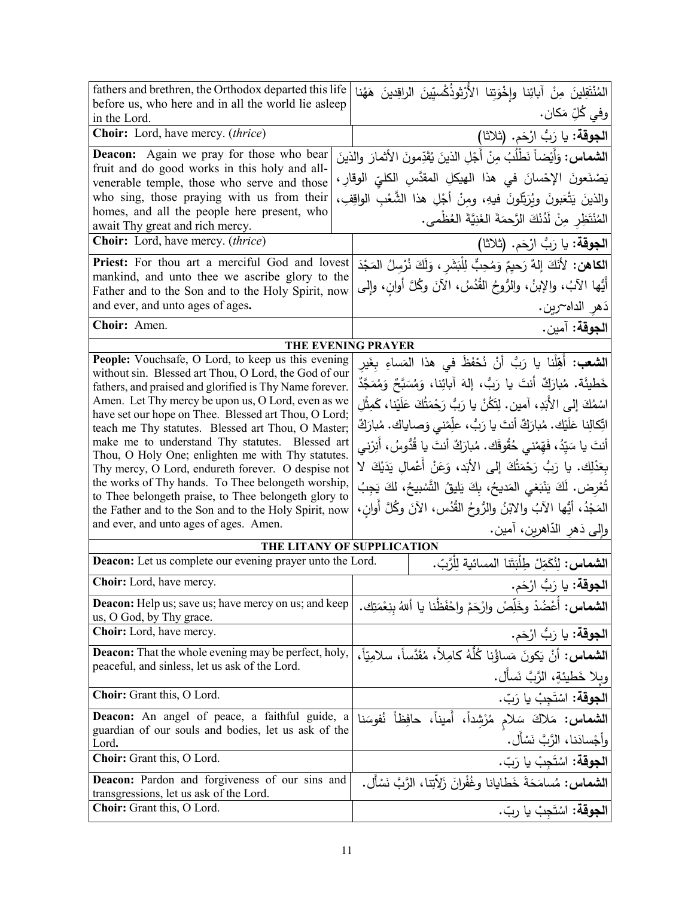| fathers and brethren, the Orthodox departed this life<br>before us, who here and in all the world lie asleep |  | المُنْتَقِلينَ مِنْ آبائِنا وإِخْوَتِنا الأُرْثَوِذُكْسيِّينَ الراقِدينَ هَهُنا |                                                                                      |  |
|--------------------------------------------------------------------------------------------------------------|--|---------------------------------------------------------------------------------|--------------------------------------------------------------------------------------|--|
| in the Lord.                                                                                                 |  |                                                                                 | وفي كُلِّ مَكان.                                                                     |  |
| Choir: Lord, have mercy. (thrice)                                                                            |  |                                                                                 | الجوقة: يا رَبُّ ارْحَم. (ثلاثا)                                                     |  |
| <b>Deacon:</b> Again we pray for those who bear<br>fruit and do good works in this holy and all-             |  |                                                                                 | ا <b>لشماس:</b> وَأَيْضاً نَطْلُبُ مِنْ أَجْلِ الذينَ يُقَدِّمونَ الأثمارَ والذينَ   |  |
| venerable temple, those who serve and those                                                                  |  |                                                                                 | يَصْنَعونَ الإِحْسانَ في هذا الهيكلِ المقدَّسِ الكليِّ الوقارِ ،                     |  |
| who sing, those praying with us from their                                                                   |  |                                                                                 | والذينَ يَتْعَبونَ ويُرَتِّلونَ فيهِ، ومِنْ أَجْلِ هذا الشَّعْبِ الواقِفِ،           |  |
| homes, and all the people here present, who<br>await Thy great and rich mercy.                               |  |                                                                                 | المُنْتَظِرِ مِنْ لَدُنْكَ الرَّحِمَةَ الغَنِيَّةَ العُظْمىِ.                        |  |
| Choir: Lord, have mercy. (thrice)                                                                            |  |                                                                                 | الجوقة: يا رَبُّ ارْحَم. (ثلاثا)                                                     |  |
| Priest: For thou art a merciful God and lovest                                                               |  |                                                                                 | ا <b>لكاهن:</b> لأَنَكَ إلهٌ رَحيِمٌ وَمُحِبٌّ لِلْبَشَرِ ، وَلَكَ نُرْسِلُ المَجْدَ |  |
| mankind, and unto thee we ascribe glory to the<br>Father and to the Son and to the Holy Spirit, now          |  |                                                                                 | أَيُّها الآبُ، والإبنُ، والرُّوحُ القُدُسُ، الآنَ وكُلَّ أوانِ، وإلى                 |  |
| and ever, and unto ages of ages.                                                                             |  |                                                                                 | ذهر الداه~رين.                                                                       |  |
| Choir: Amen.                                                                                                 |  |                                                                                 | ا <b>لجوقة:</b> آمين.                                                                |  |
|                                                                                                              |  | THE EVENING PRAYER                                                              |                                                                                      |  |
| People: Vouchsafe, O Lord, to keep us this evening<br>without sin. Blessed art Thou, O Lord, the God of our  |  |                                                                                 | ا <b>لشعب</b> : أَهِّلْنا يا رَبُّ أنْ نُحْفَظَ في هذا المَساءِ بِغَيرِ              |  |
| fathers, and praised and glorified is Thy Name forever.                                                      |  |                                                                                 | خَطيئَة. مُبارَكٌ أنتَ يا رَبُّ، إلهَ آبائِنا، وَمُسَبَّحٌ وَمُمَجَّدٌ               |  |
| Amen. Let Thy mercy be upon us, O Lord, even as we                                                           |  |                                                                                 | اسْمُكَ إِلى الأَبَدِ، آمين. لِتَكُنْ يا رَبُّ رَحْمَتُكَ عَلَيْنا، كَمِثْلِ         |  |
| have set our hope on Thee. Blessed art Thou, O Lord;<br>teach me Thy statutes. Blessed art Thou, O Master;   |  | اتِّكالِنا عَلَيْك. مُبارَكٌ أنتَ يا رَبُّ، علِّمْنى وَصاياك. مُبارَكٌ          |                                                                                      |  |
| make me to understand Thy statutes. Blessed art                                                              |  | أَنتَ يا سَيِّدُ، فَهِّمْنـى حُقُوقَك. مُبارَكٌ أنتَ يا قُدُّوسُ، أنِرْنـى      |                                                                                      |  |
| Thou, O Holy One; enlighten me with Thy statutes.                                                            |  | بِعَدْلِك. يا رَبُّ رَحْمَتُكَ إِلى الأَبَد، وَعَنْ أَعْمالِ يَدَيْكَ لا        |                                                                                      |  |
| Thy mercy, O Lord, endureth forever. O despise not<br>the works of Thy hands. To Thee belongeth worship,     |  |                                                                                 |                                                                                      |  |
| to Thee belongeth praise, to Thee belongeth glory to                                                         |  |                                                                                 | تُعْرِض. لَكَ يَنْبَغي المَديحُ، بِكَ يَليقُ التَّسْبيحُ، لكَ يَجِبُ                 |  |
| the Father and to the Son and to the Holy Spirit, now<br>and ever, and unto ages of ages. Amen.              |  |                                                                                 | المَجْدُ، أَيُّها الآبُ والابْنُ والرُّوحُ القُدُس، الآنَ وكُلَّ أُوانِ،             |  |
| THE LITANY OF SUPPLICATION                                                                                   |  |                                                                                 | وإلى دَهر الدّاهرين، آمين.                                                           |  |
| Deacon: Let us complete our evening prayer unto the Lord.                                                    |  |                                                                                 | ا <b>لشماس:</b> لِنُكَمِّلْ طِلْبَتَنا المسائية لِلْرَّبّ.                           |  |
| Choir: Lord, have mercy.                                                                                     |  | ا <b>لجوقة:</b> يا رَبُّ ارْحَم.                                                |                                                                                      |  |
| Deacon: Help us; save us; have mercy on us; and keep                                                         |  | ا <b>لشماس:</b> أَعْضُدْ وخَلِّصْ وارْحَمْ واحْفَظْنا يا أللهُ بنِعْمَتِك.      |                                                                                      |  |
| us, O God, by Thy grace.<br>Choir: Lord, have mercy.                                                         |  | ا <b>لجوقة:</b> يا رَبُّ ارْحَم.                                                |                                                                                      |  |
| <b>Deacon:</b> That the whole evening may be perfect, holy,                                                  |  |                                                                                 | ا <b>لشماس:</b> أنْ يَكونَ مَساؤُنا كُلُّهُ كامِلاً، مُقَدَّساً، سلامِيّاً،          |  |
| peaceful, and sinless, let us ask of the Lord.                                                               |  | وبلا خَطيئةٍ، الرَّبَّ نَسأل.                                                   |                                                                                      |  |
| Choir: Grant this, O Lord.                                                                                   |  |                                                                                 | ا <b>لجوقة:</b> اسْتَجِبْ يا رَبّ.                                                   |  |
| Deacon: An angel of peace, a faithful guide, a                                                               |  |                                                                                 | ا <b>لشماس:</b> مَلاكَ سَلامِ مُرْشِداً، أميناً، حافِظاً نُفوسَنا                    |  |
| guardian of our souls and bodies, let us ask of the<br>Lord.                                                 |  | وأَجْسادَنا، الرَّبَّ نَسْأَل.                                                  |                                                                                      |  |
| Choir: Grant this, O Lord.                                                                                   |  | ا <b>لجوقة:</b> اسْتَجِبْ يا رَبّ.                                              |                                                                                      |  |
| Deacon: Pardon and forgiveness of our sins and<br>transgressions, let us ask of the Lord.                    |  | ا <b>لشماس:</b> مُسامَحَةَ خَطايانا وغُفْرانَ زَلاَتِتا، الرَّبَّ نَسْأَل.      |                                                                                      |  |
| Choir: Grant this, O Lord.                                                                                   |  |                                                                                 | ا <b>لجوقة:</b> اسْتَجِبْ يا ربّ.                                                    |  |
|                                                                                                              |  |                                                                                 |                                                                                      |  |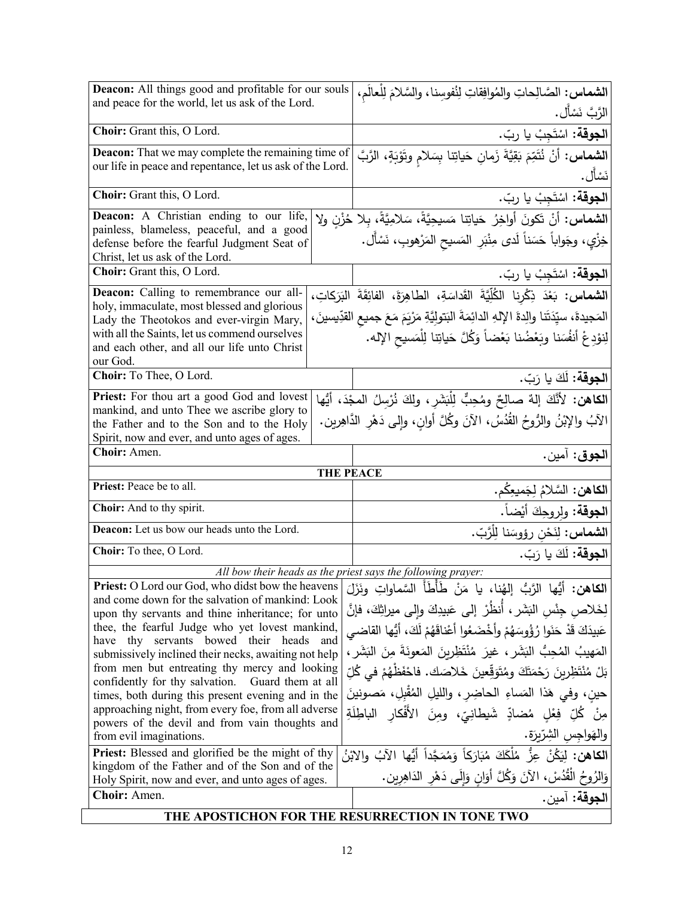| <b>Deacon:</b> All things good and profitable for our souls                                                                 |  | ا <b>لشماس:</b> الصَّالِحاتِ والمُوافِقاتِ لِنُفوسِنا، والسَّلامَ لِلْعالَمِ،                                           |  |
|-----------------------------------------------------------------------------------------------------------------------------|--|-------------------------------------------------------------------------------------------------------------------------|--|
| and peace for the world, let us ask of the Lord.                                                                            |  | الرَّبَّ نَسْأَل.                                                                                                       |  |
| Choir: Grant this, O Lord.                                                                                                  |  | ا <b>لجوقة:</b> اسْتَجِبْ يا ربّ.                                                                                       |  |
| <b>Deacon:</b> That we may complete the remaining time of                                                                   |  | ا <b>لشماس:</b> أَنْ نُتَمِّمَ بَقِيَّةَ زَمانِ حَياتِنا بِسَلامٍ وتَوْبَةٍ، الرَّبَّ                                   |  |
| our life in peace and repentance, let us ask of the Lord.                                                                   |  | نَسْأَل.                                                                                                                |  |
| Choir: Grant this, O Lord.                                                                                                  |  | الجوقة: اسْتَجِبْ يا ربّ.                                                                                               |  |
| <b>Deacon:</b> A Christian ending to our life,                                                                              |  | الشماس: أنْ تَكونَ أَواخِرُ حَياتِنا مَسيحِيَّةً، سَلامِيَّةً، بِلا حُزْنٍ ولا                                          |  |
| painless, blameless, peaceful, and a good<br>defense before the fearful Judgment Seat of<br>Christ, let us ask of the Lord. |  | خِزْيٍ، وجَواباً حَسَناً لَدى مِنْبَرِ  المَسيح المَرْهوبِ، نَسْأَلَ.                                                   |  |
| Choir: Grant this, O Lord.                                                                                                  |  | ا <b>لجوقة:</b> اسْتَجِبْ يا ربّ.                                                                                       |  |
| <b>Deacon:</b> Calling to remembrance our all-                                                                              |  | ا <b>لشماس:</b> بَعْدَ ذِكْرِنا الكُلِّيَّةَ القَداسَةِ، الطاهِرَةَ، الفائِقَةَ البَرَكاتِ،                             |  |
| holy, immaculate, most blessed and glorious<br>Lady the Theotokos and ever-virgin Mary,                                     |  | المَجيدة، سيِّدَتَنا والِدة الإلهِ الدائِمَةَ البَتولِيَّةِ مَرْيَمَ مَعَ جميعِ القدِّيسينَ،                            |  |
| with all the Saints, let us commend ourselves                                                                               |  | لِنوْدِعْ أَنفُسَنا وبَعْضُنا بَعْضاً وَكُلَّ حَياتِنا لِلْمَسيحِ الإله.                                                |  |
| and each other, and all our life unto Christ                                                                                |  |                                                                                                                         |  |
| our God.<br>Choir: To Thee, O Lord.                                                                                         |  | ا <b>لجوقة:</b> لَكَ يا رَبّ.                                                                                           |  |
| Priest: For thou art a good God and lovest                                                                                  |  | الكاهن: لأَنَّكَ إلهٌ صالِحٌ ومُحِبٌّ لِلْبَشَرِ، ولكَ نُرْسِلُ المجْدَ، أيُّها                                         |  |
| mankind, and unto Thee we ascribe glory to                                                                                  |  |                                                                                                                         |  |
| the Father and to the Son and to the Holy<br>Spirit, now and ever, and unto ages of ages.                                   |  | الآبُ والإِبْنُ والرُّوحُ القُدُسُ، الآنَ وكُلَّ أوانِ، وإلى دَهْرِ الدَّاهِرين.                                        |  |
| Choir: Amen.                                                                                                                |  | ا <b>لجوق</b> : آمين.                                                                                                   |  |
|                                                                                                                             |  | <b>THE PEACE</b>                                                                                                        |  |
| Priest: Peace be to all.                                                                                                    |  | ا <b>لكاهن:</b> السَّلامُ لِجَميعِكُم.                                                                                  |  |
| Choir: And to thy spirit.                                                                                                   |  | ا <b>لجوقة</b> : ولروحِكَ أيْضاً.                                                                                       |  |
| Deacon: Let us bow our heads unto the Lord.                                                                                 |  | ا <b>لشماس:</b> لِنَحْن رؤوسَنا لِلْرَّبّ.                                                                              |  |
| Choir: To thee, O Lord.                                                                                                     |  | ا <b>لجوقة:</b> لَكَ يا رَبّ.                                                                                           |  |
|                                                                                                                             |  | All bow their heads as the priest says the following prayer:                                                            |  |
| and come down for the salvation of mankind: Look                                                                            |  | الكاهن: أَيُّها الرَّبُّ إلهُنا، يا مَنْ طَأَطَأَ السَّماواتِ ونَزَلَ Priest: O Lord our God, who didst bow the heavens |  |
| upon thy servants and thine inheritance; for unto                                                                           |  | لِخَلاص جِنْسِ البَشَرِ ، أَنظُرْ إلى عَبيدِكَ وإِلى ميراثِكَ، فإنَّ                                                    |  |
| thee, the fearful Judge who yet lovest mankind,                                                                             |  | عَبِيدَكَ قَدْ حَنَوا رُؤُوسَهُمْ وأَخْضَعُوا أَعْناقَهُمْ لَكَ، أَيُّها القاضي                                         |  |
| have thy servants bowed their heads and<br>submissively inclined their necks, awaiting not help                             |  | المَهيبُ المُحِبُّ البَشَرِ ، غيرَ مُنْتَظِرِينَ المَعونَةَ مِنَ البَشَرِ ،                                             |  |
| from men but entreating thy mercy and looking                                                                               |  | بَلْ مُنْتَظِرِينَ رَحْمَتَكَ ومُتَوَقِّعينَ خَلاصَك. فاحْفَظْهُمْ في كُلِّ                                             |  |
| confidently for thy salvation. Guard them at all<br>times, both during this present evening and in the                      |  | حينِ، وفي هَذا المَساءِ الحاضِرِ، واللَّيلِ الْمُقْبِلِ، مَصونينَ                                                       |  |
| approaching night, from every foe, from all adverse                                                                         |  | مِنْ كُلِّ فِعْلٍ مُضادٍّ شَيطانِيّ، ومِنَ الأَفْكارِ الباطِلَةِ                                                        |  |
| powers of the devil and from vain thoughts and                                                                              |  |                                                                                                                         |  |
| from evil imaginations.                                                                                                     |  | والهَواجس الشِرّبرَة.                                                                                                   |  |
| Priest: Blessed and glorified be the might of thy<br>kingdom of the Father and of the Son and of the                        |  | ا <b>لكاهن:</b> لِيَكُنْ عِزُّ مُلْكَكَ مُبَارَكاً وَمُمَجَّداً أَيُّها الآبُ والابْنُ                                  |  |
| Holy Spirit, now and ever, and unto ages of ages.                                                                           |  | وَالزُوحُ الْقُدُسْ، الآنَ وَكُلَّ أَوَانٍ وَإِلَى دَهْرِ الذَاهِرِينِ.                                                 |  |
| Choir: Amen.                                                                                                                |  | ا <b>لجوقة:</b> آمين.                                                                                                   |  |
|                                                                                                                             |  | THE APOSTICHON FOR THE RESURRECTION IN TONE TWO                                                                         |  |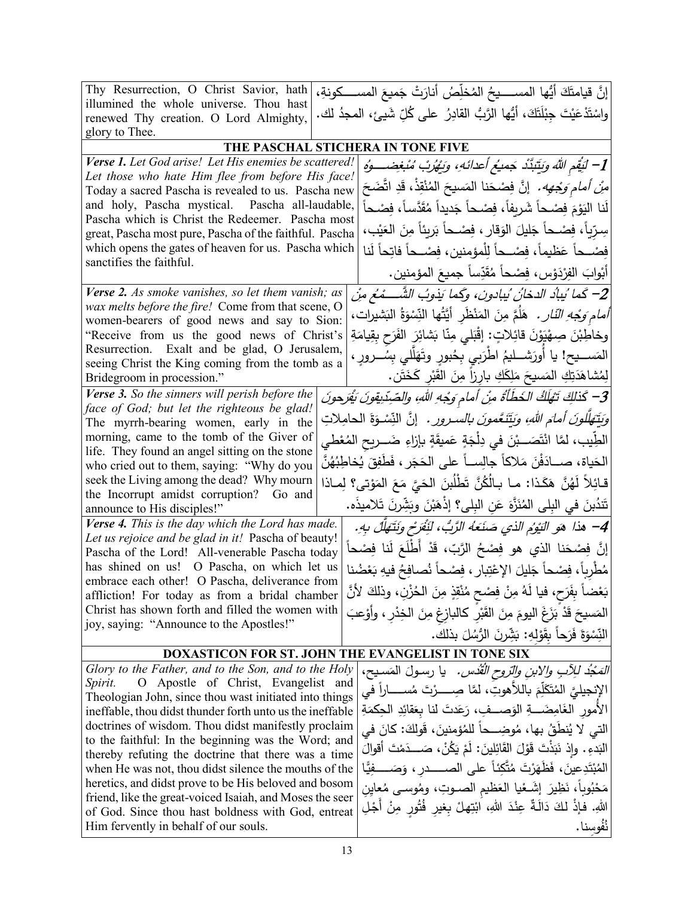| Thy Resurrection, O Christ Savior, hath                                                                        | إِنَّ قيامتَكَ أيُّها المســـــيحُ المُخلِّصُ أنارَتْ جَميعَ المســـكونةِ،                            |
|----------------------------------------------------------------------------------------------------------------|-------------------------------------------------------------------------------------------------------|
| illumined the whole universe. Thou hast<br>renewed Thy creation. O Lord Almighty,                              | واسْتَدْعَيْتَ جِبْلَتَكَ، أَيُّها الرَّبُّ القادِرُ على كُلِّ شَيئٍ، المجدُ لك.                      |
| glory to Thee.                                                                                                 |                                                                                                       |
|                                                                                                                | THE PASCHAL STICHERA IN TONE FIVE                                                                     |
| Verse 1. Let God arise! Let His enemies be scattered!                                                          | [1= لَيَقِمِ اللَّهُ وَيَتَبَدَّدْ جَمِيعُ أَعدائهِ، وَيَهُرْبُ مُبْغِضِـــوُهِ                       |
| Let those who hate Him flee from before His face!                                                              | م <i>ِنْ أمام وَجْهِه.</i> إنَّ فِصْحَنا المَسيحَ المُنْقِذْ، قَدِ اتَّضَحَ                           |
| Today a sacred Pascha is revealed to us. Pascha new<br>and holy, Pascha mystical. Pascha all-laudable,         |                                                                                                       |
| Pascha which is Christ the Redeemer. Pascha most                                                               | لَنا اليَوْمَ فِصْحاً شَرِيفاً، فِصْحاً جَديداً مُقَدَّساً، فِصْحاً                                   |
| great, Pascha most pure, Pascha of the faithful. Pascha                                                        | سِرِّياً، فِصْـحاً جَليلَ الوَقارِ ، فِصْـحاً بَرِيئاً مِنَ العَيْبِ،                                 |
| which opens the gates of heaven for us. Pascha which<br>sanctifies the faithful.                               | فِصْــحاً عَظيماً، فِصْــحاً لِلْمؤمنين، فِصْــحاً فاتِحاً لَنا                                       |
|                                                                                                                | أَبْوابَ الفِرْدَوْسِ، فِصْحاً مُقَدِّساً جميعَ المؤمنين.                                             |
| Verse 2. As smoke vanishes, so let them vanish; as                                                             | 2– كَما نُيادُ الدخانُ نُيادونِ، وكَما يَذوبُ الشَّـــمُعُ مِنْ                                       |
| wax melts before the fire! Come from that scene, O<br>women-bearers of good news and say to Sion:              | <i>أمام وَبْجهِ النّار .</i> ۚ هَلَمَّ مِنَ المَنْظُرِ أَيَّتُها النِّسْوَةُ النَشيرات،               |
| "Receive from us the good news of Christ's                                                                     | وخاطِبْنَ صِهْيَوْنَ قَائِلاتٍ: إِقْبَلَى مِنَّا بَشَائِرَ الْفَرَحِ بِقِيامَةِ                       |
| Resurrection. Exalt and be glad, O Jerusalem,                                                                  | الْمَســيح! يا أُورَشـــليمُ اطْرَبِي بِحُبورِ وتَهَلَّلي بِسُـــرورِ ،                               |
| seeing Christ the King coming from the tomb as a                                                               | لِمُشَاهَدَتِكِ الْمَسِيحَ مَلِكَكِ بَارِزاً مِنَ الْقَبْرِ كَخَتَنٍ.                                 |
| Bridegroom in procession."<br>Verse 3. So the sinners will perish before the                                   |                                                                                                       |
| face of God; but let the righteous be glad!                                                                    | 3– كَذلِكَ تَهْلَكُ الخَطَأَةُ مِنْ أمام َوجْهِ اللهِ، والصِّدِّيقونَ يَفْرَحونَ                      |
| The myrrh-bearing women, early in the                                                                          | <i>وَيَتَهَلَّلُونَ أَمَامَ اللَّهِ، وَيَتَنَعَّمُونَ بِالسرورِ .</i> إِنَّ النِّسْوَةَ الْحَامِلَاتِ |
| morning, came to the tomb of the Giver of                                                                      | الطِّيب، لمَّا انْتَصَــبْنَ في دِلْجَةٍ عَميقَةٍ بإزاءِ ضَـــريح المُغْطي                            |
| life. They found an angel sitting on the stone<br>who cried out to them, saying: "Why do you                   | الْحَياة، صـــادَفْنَ مَلاكاً جالِســاً على الحَجَرِ ، فَطَفِقَ يُخاطِبُهُنَّ                         |
| seek the Living among the dead? Why mourn                                                                      | قـائِلاً لَهُنَّ هَكَذا: مـا بـالُكُنَّ تَطْلُبنَ الحَيَّ مَعَ المَوْتي؟ لِمـاذا                      |
| the Incorrupt amidst corruption? Go and                                                                        |                                                                                                       |
| announce to His disciples!"                                                                                    | تَنذُبنَ في البِلِّي الْمُنَزَّةِ عَنِ البِلِّي؟ إذْهَبْنَ وبَشِّرنَ تَلاميذَه.                       |
| Verse 4. This is the day which the Lord has made.<br>Let us rejoice and be glad in it! Pascha of beauty!       | 4– هذا هو النِّومُ الذي صَنَعَهُ الرَّبُ، لنِّفَرَح ونَتَهَلَّلْ بهِ.                                 |
| Pascha of the Lord! All-venerable Pascha today                                                                 | إنَّ فِصْحَنا الذي هو فِصْحُ الرَّبّ، قَدْ أَطْلَعَ لَنا فِصْحاً                                      |
| has shined on us! O Pascha, on which let us                                                                    | مُطْرِباً، فِصْحاً جَليلَ الإعْتِبارِ ، فِصْحاً نُصافِحُ فيهِ بَعْضُنا                                |
| embrace each other! O Pascha, deliverance from<br>affliction! For today as from a bridal chamber               | بَعْضاً بِفَرَحٍ، فيا لَهُ مِنْ فِصْحٍ مُنْقِذٍ مِنَ الحُزْنِ، وذلكَ لأنَّ                            |
| Christ has shown forth and filled the women with                                                               | الْمَسِيحَ قَدْ بَزَغَ الْيُومَ مِنَ الْقَبْرِ كَالْبَازِغِ مِنَ الْخِدْرِ ، وَأَوْعِبَ               |
| joy, saying: "Announce to the Apostles!"                                                                       |                                                                                                       |
|                                                                                                                | النِّسْوَةَ فَرَحاً بِقَوْلِهِ: بَشِّرنَ الرُّسُلَ بِذلك.                                             |
| Glory to the Father, and to the Son, and to the Holy                                                           | <b>DOXASTICON FOR ST. JOHN THE EVANGELIST IN TONE SIX</b>                                             |
| O Apostle of Christ, Evangelist and<br>Spirit.                                                                 | <i>المَعْبُدُ لِلِأَبِ والابنِ والرّوح القُدْس.</i> يا رسولَ المَسيح،                                 |
| Theologian John, since thou wast initiated into things                                                         | الإنجيليَّ المُتَكَلِّمَ باللأهوتِ، لمَّا صِــــرْتَ مُســــاراً في                                   |
| ineffable, thou didst thunder forth unto us the ineffable                                                      | الأمور الغَامِضَــــةِ الوَصـــفِ، رَعَدتَ لنا بعَقائِدِ الحِكمَةِ                                    |
| doctrines of wisdom. Thou didst manifestly proclaim                                                            | التي لا يُنطَقُ بها، مُوضِـــحاً للمُؤمنينَ، قَولِكَ: كانَ في                                         |
| to the faithful: In the beginning was the Word; and<br>thereby refuting the doctrine that there was a time     | البَدءِ . وإذ نَبَذْتَ قَوْلَ القَائِلِينَ : لَمْ يَكُنْ، صَـــدَمْتَ أَقوالَ                         |
| when He was not, thou didst silence the mouths of the                                                          | المُبْتَدِعينَ، فَظَهَرْتَ مُتَّكِئاً على الصـــــــــدر ، وَصَـــــفِيًّـا                           |
| heretics, and didst prove to be His beloved and bosom                                                          | مَحْبُوباً، نَظِيرَ إشَـعْيا العَظيم الصـوتِ، ومُوسـى مُعايِنِ                                        |
| friend, like the great-voiced Isaiah, and Moses the seer<br>of God. Since thou hast boldness with God, entreat | اللهِ. فإذْ لكَ دَالَةٌ عِنْدَ اللهِ، ابْتِهلْ بِغيرِ فُتُورٍ مِنْ أَجْلِ                             |
| Him fervently in behalf of our souls.                                                                          | نُفَوسنا.                                                                                             |
|                                                                                                                |                                                                                                       |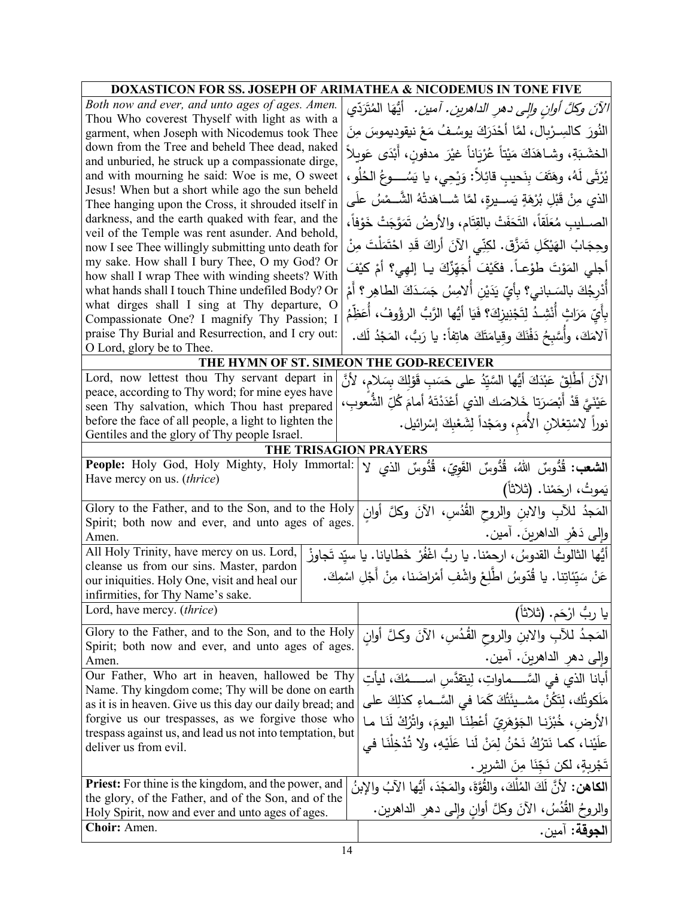| <b>DOXASTICON FOR SS. JOSEPH OF ARIMATHEA &amp; NICODEMUS IN TONE FIVE</b>                                          |                                                                                    |  |
|---------------------------------------------------------------------------------------------------------------------|------------------------------------------------------------------------------------|--|
| Both now and ever, and unto ages of ages. Amen.                                                                     | الآنَ وكلَّ أُولِنِ وإلى دهرِ الداهرينِ. آمين . ۖ أَيُّهَا المُتَزَدِّي            |  |
| Thou Who coverest Thyself with light as with a<br>garment, when Joseph with Nicodemus took Thee                     | النُورَ كالسِـرْبِالِ، لمَّا أَحْدَرَكَ يوسُـفُ مَعْ نيقوديموسَ مِنَ               |  |
| down from the Tree and beheld Thee dead, naked                                                                      | الخشَـبَةِ، وشـاهَدَكَ مَيْتاً عُرْيَاناً غيْرَ مدفونِ، أَبْدَى عَوِيلاً           |  |
| and unburied, he struck up a compassionate dirge,                                                                   |                                                                                    |  |
| and with mourning he said: Woe is me, O sweet<br>Jesus! When but a short while ago the sun beheld                   | يُرْثَى لَهُ، وهَتَفَ بِنَحيبٍ قائِلاً: وَيْحِي، يا يَسُـــــوعُ الحُلُو ،         |  |
| Thee hanging upon the Cross, it shrouded itself in                                                                  | الذي مِنْ قَبْلِ بُرْهَةٍ يَســيرةٍ، لمَّا شـــاهَدتْهُ الشَّــمْسُ علَى           |  |
| darkness, and the earth quaked with fear, and the                                                                   | الصـــليبِ مُعَلَقاً، التَحَفَتْ بالقِتَام، والأرضُ تَمَوَّجَتْ خَوْفاً،           |  |
| veil of the Temple was rent asunder. And behold,                                                                    | وحِجَابُ الهَيْكَلِ تَمَزَّقٍ. لكِنِّي الآنَ أُراكَ قَدِ احْتَمَلْتَ مِنْ          |  |
| now I see Thee willingly submitting unto death for<br>my sake. How shall I bury Thee, O my God? Or                  |                                                                                    |  |
| how shall I wrap Thee with winding sheets? With                                                                     | أجلى المَوْتَ طوْعـاً. فكَيْفَ أَجَهِّزْكَ يـا إلهِي؟ أمْ كيْفَ                    |  |
| what hands shall I touch Thine undefiled Body? Or                                                                   | أَدْرِجُكَ بالسَـبانـي؟ بِأَيِّ يَدَيْنِ أَلامِسُ جَسَـدَكَ الطاهِرِ ؟ أَمْ        |  |
| what dirges shall I sing at Thy departure, O                                                                        | بِأَيِّ مَرَاثٍ أَنْشِدُ لِتَجْنِيزِكَ؟ فَيَا أَيُّها الرَّبُّ الرؤُوفُ، أَعَظِّمُ |  |
| Compassionate One? I magnify Thy Passion; I<br>praise Thy Burial and Resurrection, and I cry out:                   | آلامَكَ، وأَسَّبِحُ دَفْنَكَ وقِيامَتَكَ هاتِفاً: يا رَبُّ، المَجْدُ لَك.          |  |
| O Lord, glory be to Thee.                                                                                           |                                                                                    |  |
|                                                                                                                     | THE HYMN OF ST. SIMEON THE GOD-RECEIVER                                            |  |
| Lord, now lettest thou Thy servant depart in                                                                        | الآنَ أَطْلِقْ عَبْدَكَ أَيُّها السَّيِّدُ على حَسَبِ قَوْلِكَ بِسَلامِ، لأَنَّ    |  |
| peace, according to Thy word; for mine eyes have<br>seen Thy salvation, which Thou hast prepared                    | عَيْنَيَّ قَدْ أَبْصَرَتا خَلاصَك الذي أَعْدَدْتَهُ أَمامَ كُلِّ الشُّعوبِ،        |  |
| before the face of all people, a light to lighten the                                                               | نوراً لاسْتِعْلانِ الأُمَمِ، ومَجْداً لِشَعْبِكَ إسْرائيل.                         |  |
| Gentiles and the glory of Thy people Israel.                                                                        |                                                                                    |  |
|                                                                                                                     | THE TRISAGION PRAYERS                                                              |  |
| People: Holy God, Holy Mighty, Holy Immortal:                                                                       | ا <b>لشعب:</b> قُدُوسٌ اللهُ، قُدُوسٌ القَوِيِّ، قُدُوسٌ الذي لا                   |  |
| Have mercy on us. (thrice)                                                                                          | يَموتُ، ارحَمْنا. (ثلاثاً)                                                         |  |
| Glory to the Father, and to the Son, and to the Holy                                                                | المَجدُ للآبِ والابنِ والروح القُدُسِ، الآنَ وكلَّ أوانِ                           |  |
| Spirit; both now and ever, and unto ages of ages.<br>Amen.                                                          | وإِلىي دَهْرِ الداهريِنَ. أَمين.                                                   |  |
| All Holy Trinity, have mercy on us. Lord,                                                                           | أَيُّها الثالوثُ القدوسُ، ارحمْنا. يا ربُّ اغْفُرْ خَطايانا. يا سيّد تَجاوزْ       |  |
| cleanse us from our sins. Master, pardon                                                                            |                                                                                    |  |
| our iniquities. Holy One, visit and heal our                                                                        | عَنْ سَيِّئاتِنا. يا قُدّوسُ اطَّلِعْ واشْفِ أمْراضَنا، مِنْ أَجْلِ اسْمِكَ.       |  |
| infirmities, for Thy Name's sake.<br>Lord, have mercy. <i>(thrice)</i>                                              |                                                                                    |  |
|                                                                                                                     | يا ربُّ ارْحَم. (ثلاثا)                                                            |  |
| Glory to the Father, and to the Son, and to the Holy<br>Spirit; both now and ever, and unto ages of ages.           | المَجدُ للآبِ والابنِ والروحِ القُدُسِ، الآنَ وكلَّ أوان                           |  |
| Amen.                                                                                                               | وإلى دهر الداهرينَ. أمين.                                                          |  |
| Our Father, Who art in heaven, hallowed be Thy                                                                      | أبانا الذي في السَّـــماواتِ، لِيتقدَّسِ اســــمُكَ، ليأتِ                         |  |
| Name. Thy kingdom come; Thy will be done on earth<br>as it is in heaven. Give us this day our daily bread; and      | مَلَكوتُك، لِتَكُنْ مشــيئَتُكَ كَمَا في السَّــماءِ كذلِكَ على                    |  |
| forgive us our trespasses, as we forgive those who                                                                  | الأرض، خُبْزَنـا الـجَوْهَريّ أَعْطِنَـا اليومَ، واتْرُكْ لَنَـا مـا               |  |
| trespass against us, and lead us not into temptation, but                                                           | علَيْنا، كما نَترُكُ نَحْنُ لِمَنْ لَنا عَلَيْهِ، ولا تُدْخِلْنَا في               |  |
| deliver us from evil.                                                                                               |                                                                                    |  |
|                                                                                                                     | تَجْرِبةٍ، لكن نَجِّنَا مِنَ الشريرِ .                                             |  |
| <b>Priest:</b> For thine is the kingdom, and the power, and<br>the glory, of the Father, and of the Son, and of the | ا <b>لكاهن:</b> لأنَّ لَكَ المُلْكَ، والقُوَّةِ، والمَجْدَ، أيُّها الآبُ والإبنُ   |  |
| Holy Spirit, now and ever and unto ages of ages.                                                                    | والروحُ القُدُسُ، الآنَ وكلَّ أوانِ وإلى دهرِ الداهرين.                            |  |
| Choir: Amen.                                                                                                        | الجوقة: آمين.                                                                      |  |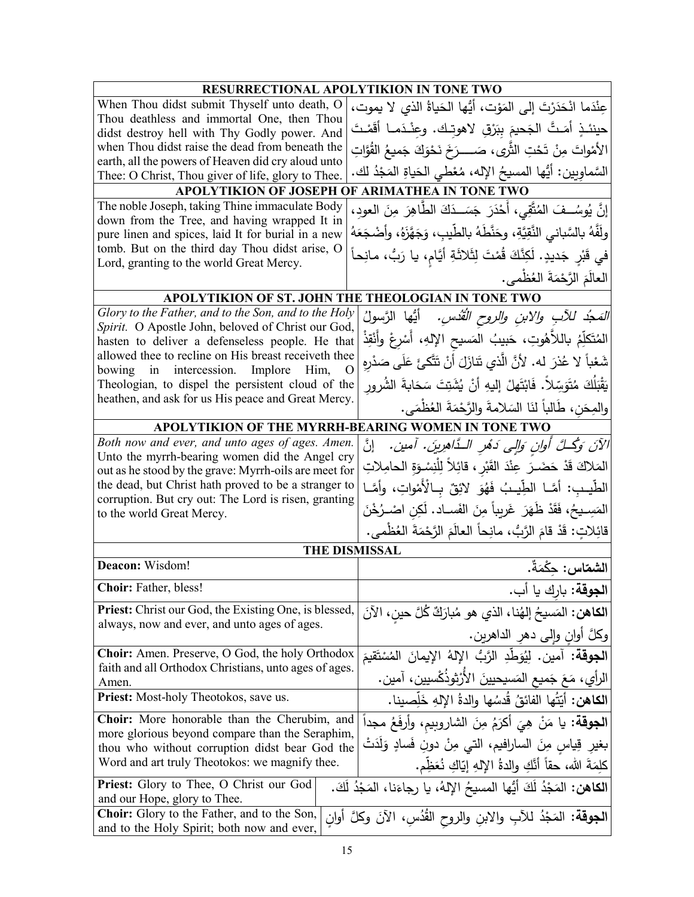| <b>RESURRECTIONAL APOLYTIKION IN TONE TWO</b>                                                                |                                                                                   |  |
|--------------------------------------------------------------------------------------------------------------|-----------------------------------------------------------------------------------|--|
| When Thou didst submit Thyself unto death, O                                                                 | عِنْدَما انْحَدَرْتَ إِلَى المَوْتِ، أَيُّها الحَياةُ الذي لا يموت،               |  |
| Thou deathless and immortal One, then Thou<br>didst destroy hell with Thy Godly power. And                   | حينئـذٍ أَمَـتَّ الْجَحيمَ بِبَرْقِ لاهوتـك. وعِنْـدَمــا أَقَمْـتَ               |  |
| when Thou didst raise the dead from beneath the                                                              | الأَمْواتَ مِنْ تَحْتِ الثَّرِى، صَـــــرَخَ نَحْوَكَ جَميعُ القُوَّاتِ           |  |
| earth, all the powers of Heaven did cry aloud unto<br>Thee: O Christ, Thou giver of life, glory to Thee.     | السَّماويين: أيُّها المسيحُ اﻹله، مُعْطى الحَياةِ المَجْدُ لك.                    |  |
| APOLYTIKION OF JOSEPH OF ARIMATHEA IN TONE TWO                                                               |                                                                                   |  |
| The noble Joseph, taking Thine immaculate Body                                                               | إِنَّ يُوسُــفَ المُتَّقِى، أَحْدَرَ جَسَــدَكَ الطَّاهِرَ مِنَ العودِ،           |  |
| down from the Tree, and having wrapped It in<br>pure linen and spices, laid It for burial in a new           | ولَفَّهُ بالسَّباني النَّقِيَّةِ، وحَنَّطَهُ بالطِّيبِ، وَجَهَّزَهُ، وأَصْجَعَهُ  |  |
| tomb. But on the third day Thou didst arise, O                                                               |                                                                                   |  |
| Lord, granting to the world Great Mercy.                                                                     | في قَبْرِ جَديدٍ. لَكِنَّكَ قُمْتَ لِثَلاثَةِ أَيَّامٍ، يا رَبُّ، مانِحاً         |  |
|                                                                                                              | العالَمَ الرَّحْمَةَ العُظْمي.                                                    |  |
| APOLYTIKION OF ST. JOHN THE THEOLOGIAN IN TONE TWO                                                           |                                                                                   |  |
| Glory to the Father, and to the Son, and to the Holy                                                         | <i>التَّحِدُ للأَبِ والابنِ والروح القُدْسِ.</i> أَيُّها  الرَّسولُ               |  |
| Spirit. O Apostle John, beloved of Christ our God,<br>hasten to deliver a defenseless people. He that        | المُتَكلِّمُ باللاَّهُوتِ، حَبيبُ المَسيحِ الإِلهِ، أَسْرِعْ وأنْقِذْ             |  |
| allowed thee to recline on His breast receiveth thee                                                         |                                                                                   |  |
| bowing in intercession. Implore Him,<br>O                                                                    | شَعْباً لا عُذرَ له. لأنَّ الَّذي تَنازَلَ أنْ تَتَّكئَ عَلَى صَدْرِهِ            |  |
| Theologian, to dispel the persistent cloud of the<br>heathen, and ask for us His peace and Great Mercy.      | يَقْبَلُكَ مُتَوَسِّلاً. فَابْتَهِلْ إِليهِ أَنْ يُشَتِتَ سَحَابةَ الشُرور        |  |
|                                                                                                              | والمِحَنِ، طَالباً لنَا السَلامةَ والرَّحْمَةَ العُظْمَى.                         |  |
| APOLYTIKION OF THE MYRRH-BEARING WOMEN IN TONE TWO                                                           |                                                                                   |  |
| Both now and ever, and unto ages of ages. Amen.                                                              | الآنَ وَكُلِّ أُوانٍ وَإِلَى دَهْرِ الْدَّاهِرِينَ. آمين. ﴿نَّ                    |  |
| Unto the myrrh-bearing women did the Angel cry<br>out as he stood by the grave: Myrrh-oils are meet for      | المَلاكَ قَدْ حَضَـرَ عِنْدَ القَبْرِ ، قائِلاً لِلْنِسْوَةِ الحامِلاتِ           |  |
| the dead, but Christ hath proved to be a stranger to                                                         | الطَّيــبِ: أمَّــا الطِّيــبُ فَهُوَ لائِقٌ بِــالْأَمْواتِ، وأمَّــا            |  |
| corruption. But cry out: The Lord is risen, granting                                                         | المَسِــيحُ، فَقَدْ ظَهَرَ غَرِيباً مِنَ الفَســاد. لَكِن اصْــرُخْنَ             |  |
| to the world Great Mercy.                                                                                    |                                                                                   |  |
| THE DISMISSAL                                                                                                | قائِلاتٍ: قَدْ قامَ الرَّبُّ، مانِحاً العالَمَ الرَّحْمَةَ العُظْمى.              |  |
| Deacon: Wisdom!                                                                                              | ا <b>لشماس:</b> حِكْمَةٌ.                                                         |  |
| Choir: Father, bless!                                                                                        |                                                                                   |  |
|                                                                                                              | ا <b>لجوقة:</b> بارك يا أب.                                                       |  |
| <b>Priest:</b> Christ our God, the Existing One, is blessed,<br>always, now and ever, and unto ages of ages. | ا <b>لكاهن:</b> المَسيحُ إلهُنا، الذي هو مُبارَكٌ كُلَّ حين، الآنَ                |  |
|                                                                                                              | وكلَّ أوان وإِلى دهر الداهرين.                                                    |  |
| <b>Choir:</b> Amen. Preserve, O God, the holy Orthodox                                                       | ا <b>لجوقة:</b> آمين. لِيُوَطِّدِ الرَّبُّ الإِلهُ الإِيمانَ المُسْتَقيمَ         |  |
| faith and all Orthodox Christians, unto ages of ages.<br>Amen.                                               | الرأى، مَعَ جَميع المَسيحيينَ الأَرْثوذُكْسيين، آمين.                             |  |
| Priest: Most-holy Theotokos, save us.                                                                        | ا <b>لكاهن:</b> أَيّتُها الفائقُ قُدسُها والدةُ اﻹلهِ خَلّصينا.                   |  |
| <b>Choir:</b> More honorable than the Cherubim, and                                                          | ا <b>لجوقة:</b> يا مَنْ هِيَ أكرَمُ مِنَ الشاروبيم، وأرفَعُ مجداً                 |  |
| more glorious beyond compare than the Seraphim,<br>thou who without corruption didst bear God the            | بغير قِياسٍ مِنَ السارافيم، التي مِنْ دونِ فَسادٍ وَلِدَتْ                        |  |
| Word and art truly Theotokos: we magnify thee.                                                               | كلِمَةَ الله، حقاً أنَّكِ والدةُ اﻹلهِ إيّاكِ نُعَظِّم.                           |  |
| Priest: Glory to Thee, O Christ our God                                                                      | ا <b>لكاهن:</b> المَجْدُ لَكَ أَيُّها المسيحُ الإِلهُ، يا رجاءَنا، المَجْدُ لَكَ. |  |
| and our Hope, glory to Thee.                                                                                 |                                                                                   |  |
| <b>Choir:</b> Glory to the Father, and to the Son,<br>and to the Holy Spirit; both now and ever,             | <b>الجوقة:</b> المَجْدُ للأَبِ والابنِ والروح القُدُسِ، الآنَ وكلَّ أوانِ         |  |
|                                                                                                              |                                                                                   |  |